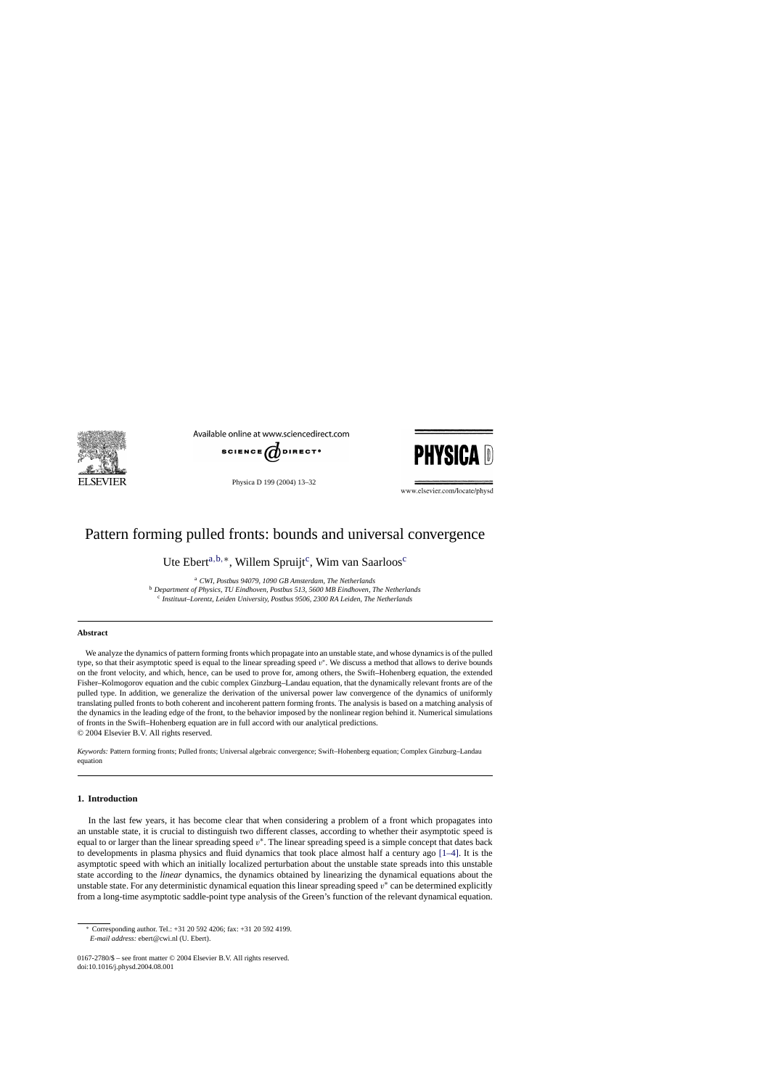

Available online at www.sciencedirect.com



Physica D 199 (2004) 13–32



www.elsevier.com/locate/physd

# Pattern forming pulled fronts: bounds and universal convergence

Ute Ebert<sup>a,b,\*</sup>, Willem Spruijt<sup>c</sup>, Wim van Saarloos<sup>c</sup>

<sup>a</sup> *CWI, Postbus 94079, 1090 GB Amsterdam, The Netherlands* <sup>b</sup> *Department of Physics, TU Eindhoven, Postbus 513, 5600 MB Eindhoven, The Netherlands* <sup>c</sup> *Instituut–Lorentz, Leiden University, Postbus 9506, 2300 RA Leiden, The Netherlands*

#### **Abstract**

We analyze the dynamics of pattern forming fronts which propagate into an unstable state, and whose dynamics is of the pulled type, so that their asymptotic speed is equal to the linear spreading speed  $v^*$ . We discuss a method that allows to derive bounds on the front velocity, and which, hence, can be used to prove for, among others, the Swift–Hohenberg equation, the extended Fisher–Kolmogorov equation and the cubic complex Ginzburg–Landau equation, that the dynamically relevant fronts are of the pulled type. In addition, we generalize the derivation of the universal power law convergence of the dynamics of uniformly translating pulled fronts to both coherent and incoherent pattern forming fronts. The analysis is based on a matching analysis of the dynamics in the leading edge of the front, to the behavior imposed by the nonlinear region behind it. Numerical simulations of fronts in the Swift–Hohenberg equation are in full accord with our analytical predictions. © 2004 Elsevier B.V. All rights reserved.

*Keywords:* Pattern forming fronts; Pulled fronts; Universal algebraic convergence; Swift–Hohenberg equation; Complex Ginzburg–Landau equation

# **1. Introduction**

In the last few years, it has become clear that when considering a problem of a front which propagates into an unstable state, it is crucial to distinguish two different classes, according to whether their asymptotic speed is equal to or larger than the linear spreading speed  $v^*$ . The linear spreading speed is a simple concept that dates back to developments in plasma physics and fluid dynamics that took place almost half a century ago [\[1–4\].](#page-18-0) It is the asymptotic speed with which an initially localized perturbation about the unstable state spreads into this unstable state according to the *linear* dynamics, the dynamics obtained by linearizing the dynamical equations about the unstable state. For any deterministic dynamical equation this linear spreading speed  $v^*$  can be determined explicitly from a long-time asymptotic saddle-point type analysis of the Green's function of the relevant dynamical equation.

<sup>∗</sup> Corresponding author. Tel.: +31 20 592 4206; fax: +31 20 592 4199. *E-mail address:* ebert@cwi.nl (U. Ebert).

<sup>0167-2780/\$ –</sup> see front matter © 2004 Elsevier B.V. All rights reserved. doi:10.1016/j.physd.2004.08.001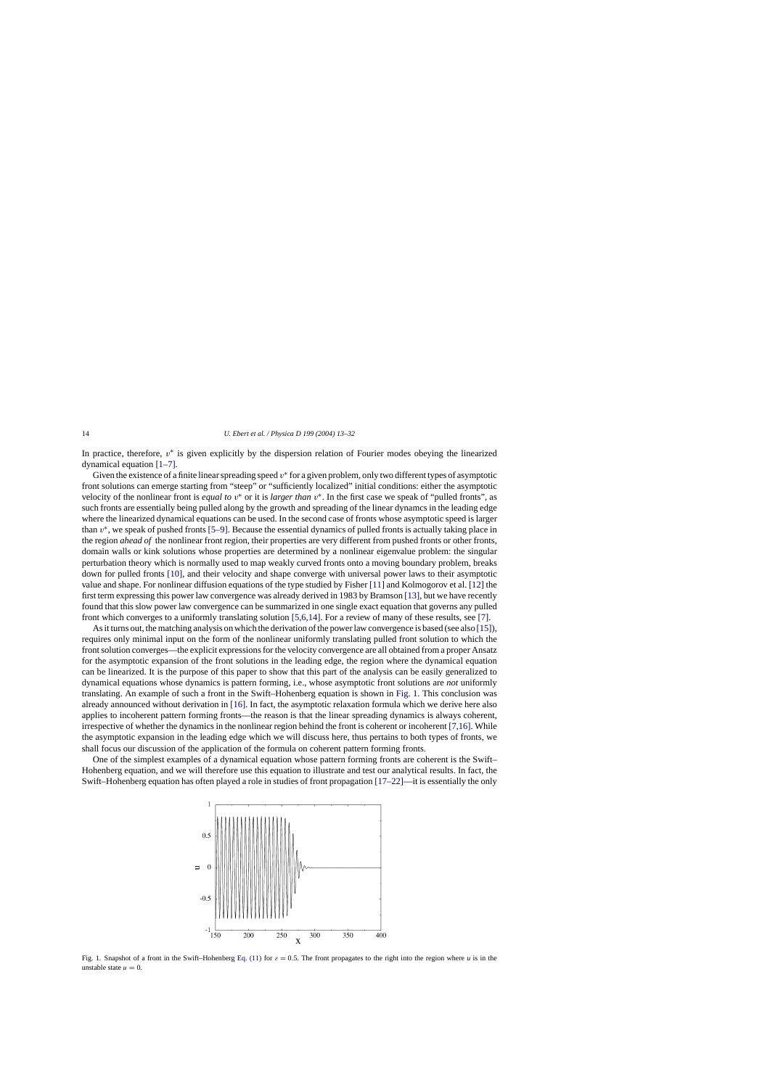<span id="page-1-0"></span>In practice, therefore,  $v^*$  is given explicitly by the dispersion relation of Fourier modes obeying the linearized dynamical equation [\[1–7\].](#page-18-0)

Given the existence of a finite linear spreading speed  $v^*$  for a given problem, only two different types of asymptotic front solutions can emerge starting from "steep" or "sufficiently localized" initial conditions: either the asymptotic velocity of the nonlinear front is *equal to* v∗ or it is *larger than* v∗. In the first case we speak of "pulled fronts", as such fronts are essentially being pulled along by the growth and spreading of the linear dynamcs in the leading edge where the linearized dynamical equations can be used. In the second case of fronts whose asymptotic speed is larger than  $v^*$ , we speak of pushed fronts [\[5–9\]. B](#page-18-0)ecause the essential dynamics of pulled fronts is actually taking place in the region *ahead of* the nonlinear front region, their properties are very different from pushed fronts or other fronts, domain walls or kink solutions whose properties are determined by a nonlinear eigenvalue problem: the singular perturbation theory which is normally used to map weakly curved fronts onto a moving boundary problem, breaks down for pulled fronts [\[10\],](#page-18-0) and their velocity and shape converge with universal power laws to their asymptotic value and shape. For nonlinear diffusion equations of the type studied by Fisher [\[11\]](#page-18-0) and Kolmogorov et al. [\[12\]](#page-18-0) the first term expressing this power law convergence was already derived in 1983 by Bramson [\[13\], b](#page-18-0)ut we have recently found that this slow power law convergence can be summarized in one single exact equation that governs any pulled front which converges to a uniformly translating solution [\[5,6,14\]. F](#page-18-0)or a review of many of these results, see [\[7\].](#page-18-0)

As it turns out, the matching analysis on which the derivation of the power law convergence is based (see also [\[15\]\),](#page-18-0) requires only minimal input on the form of the nonlinear uniformly translating pulled front solution to which the front solution converges—the explicit expressions for the velocity convergence are all obtained from a proper Ansatz for the asymptotic expansion of the front solutions in the leading edge, the region where the dynamical equation can be linearized. It is the purpose of this paper to show that this part of the analysis can be easily generalized to dynamical equations whose dynamics is pattern forming, i.e., whose asymptotic front solutions are *not* uniformly translating. An example of such a front in the Swift–Hohenberg equation is shown in Fig. 1. This conclusion was already announced without derivation in [\[16\]. I](#page-18-0)n fact, the asymptotic relaxation formula which we derive here also applies to incoherent pattern forming fronts—the reason is that the linear spreading dynamics is always coherent, irrespective of whether the dynamics in the nonlinear region behind the front is coherent or incoherent [\[7,16\]. W](#page-18-0)hile the asymptotic expansion in the leading edge which we will discuss here, thus pertains to both types of fronts, we shall focus our discussion of the application of the formula on coherent pattern forming fronts.

One of the simplest examples of a dynamical equation whose pattern forming fronts are coherent is the Swift– Hohenberg equation, and we will therefore use this equation to illustrate and test our analytical results. In fact, the Swift–Hohenberg equation has often played a role in studies of front propagation [\[17–22\]—](#page-18-0)it is essentially the only



Fig. 1. Snapshot of a front in the Swift–Hohenberg [Eq. \(11\)](#page-4-0) for  $\varepsilon = 0.5$ . The front propagates to the right into the region where *u* is in the unstable state  $u = 0$ .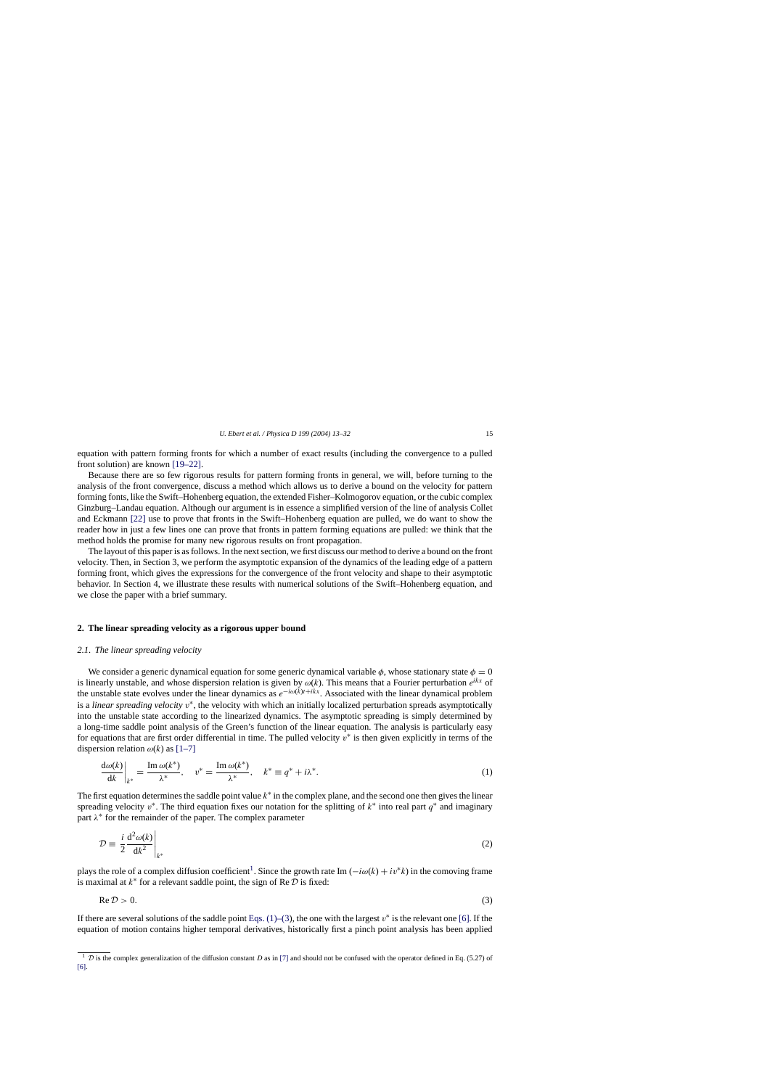<span id="page-2-0"></span>equation with pattern forming fronts for which a number of exact results (including the convergence to a pulled front solution) are known [\[19–22\].](#page-18-0)

Because there are so few rigorous results for pattern forming fronts in general, we will, before turning to the analysis of the front convergence, discuss a method which allows us to derive a bound on the velocity for pattern forming fonts, like the Swift–Hohenberg equation, the extended Fisher–Kolmogorov equation, or the cubic complex Ginzburg–Landau equation. Although our argument is in essence a simplified version of the line of analysis Collet and Eckmann [\[22\]](#page-18-0) use to prove that fronts in the Swift–Hohenberg equation are pulled, we do want to show the reader how in just a few lines one can prove that fronts in pattern forming equations are pulled: we think that the method holds the promise for many new rigorous results on front propagation.

The layout of this paper is as follows. In the next section, we first discuss our method to derive a bound on the front velocity. Then, in Section 3, we perform the asymptotic expansion of the dynamics of the leading edge of a pattern forming front, which gives the expressions for the convergence of the front velocity and shape to their asymptotic behavior. In Section 4, we illustrate these results with numerical solutions of the Swift–Hohenberg equation, and we close the paper with a brief summary.

#### **2. The linear spreading velocity as a rigorous upper bound**

## *2.1. The linear spreading velocity*

We consider a generic dynamical equation for some generic dynamical variable  $\phi$ , whose stationary state  $\phi = 0$ is linearly unstable, and whose dispersion relation is given by  $\omega(k)$ . This means that a Fourier perturbation  $e^{ikx}$  of the unstable state evolves under the linear dynamics as  $e^{-i\omega(k)t+ikx}$ . Associated with the linear dynamical problem is a *linear spreading velocity* v<sup>∗</sup>, the velocity with which an initially localized perturbation spreads asymptotically into the unstable state according to the linearized dynamics. The asymptotic spreading is simply determined by a long-time saddle point analysis of the Green's function of the linear equation. The analysis is particularly easy for equations that are first order differential in time. The pulled velocity  $v^*$  is then given explicitly in terms of the dispersion relation  $\omega(k)$  as [\[1–7\]](#page-18-0)

$$
\left. \frac{\mathrm{d}\omega(k)}{\mathrm{d}k} \right|_{k^*} = \frac{\mathrm{Im}\,\omega(k^*)}{\lambda^*}, \quad v^* = \frac{\mathrm{Im}\,\omega(k^*)}{\lambda^*}, \quad k^* \equiv q^* + i\lambda^*.
$$
\n(1)

The first equation determines the saddle point value  $k^*$  in the complex plane, and the second one then gives the linear spreading velocity v<sup>∗</sup>. The third equation fixes our notation for the splitting of  $k^*$  into real part  $q^*$  and imaginary part  $\lambda^*$  for the remainder of the paper. The complex parameter

$$
\mathcal{D} \equiv \left. \frac{i}{2} \frac{\mathrm{d}^2 \omega(k)}{\mathrm{d}k^2} \right|_{k^*} \tag{2}
$$

plays the role of a complex diffusion coefficient<sup>1</sup>. Since the growth rate Im  $(-i\omega(k) + iv^*k)$  in the comoving frame is maximal at  $k^*$  for a relevant saddle point, the sign of Re  $D$  is fixed:

$$
\operatorname{Re} \mathcal{D} > 0. \tag{3}
$$

If there are several solutions of the saddle point Eqs. (1)–(3), the one with the largest  $v^*$  is the relevant one [\[6\].](#page-18-0) If the equation of motion contains higher temporal derivatives, historically first a pinch point analysis has been applied

 $\frac{1}{1}$  $\frac{1}{1}$  $\frac{1}{1}$  D is the complex generalization of the diffusion constant D as in [\[7\]](#page-18-0) and should not be confused with the operator defined in Eq. (5.27) of [\[6\].](#page-18-0)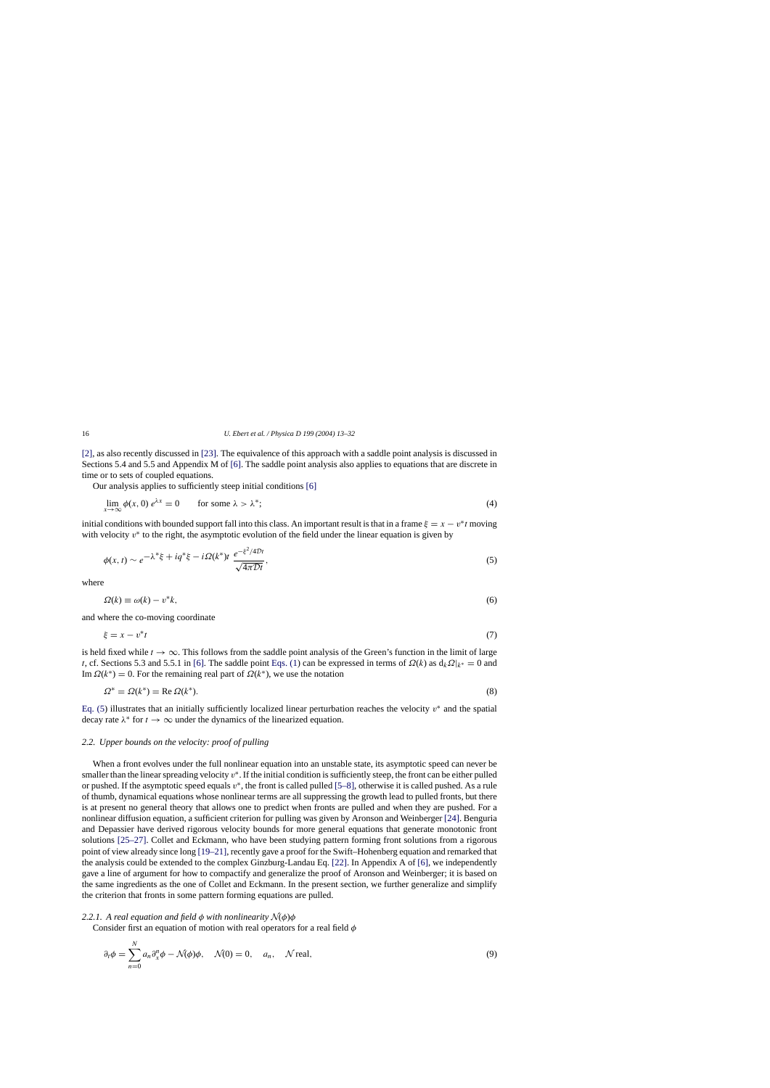<span id="page-3-0"></span>[\[2\], a](#page-18-0)s also recently discussed in [\[23\]. T](#page-18-0)he equivalence of this approach with a saddle point analysis is discussed in Sections 5.4 and 5.5 and Appendix M of [\[6\]. T](#page-18-0)he saddle point analysis also applies to equations that are discrete in time or to sets of coupled equations.

Our analysis applies to sufficiently steep initial conditions [\[6\]](#page-18-0)

$$
\lim_{x \to \infty} \phi(x, 0) e^{\lambda x} = 0 \qquad \text{for some } \lambda > \lambda^*; \tag{4}
$$

initial conditions with bounded support fall into this class. An important result is that in a frame  $\xi = x - v^*t$  moving with velocity  $v^*$  to the right, the asymptotic evolution of the field under the linear equation is given by

$$
\phi(x,t) \sim e^{-\lambda^* \xi + iq^* \xi - i\Omega(k^*)t} \frac{e^{-\xi^2/4Dt}}{\sqrt{4\pi Dt}},
$$
\n(5)

where

$$
\Omega(k) \equiv \omega(k) - v^*k,\tag{6}
$$

and where the co-moving coordinate

$$
\xi = x - v^* t \tag{7}
$$

is held fixed while  $t \to \infty$ . This follows from the saddle point analysis of the Green's function in the limit of large t, cf. Sections 5.3 and 5.5.1 in [\[6\].](#page-18-0) The saddle point [Eqs. \(1\)](#page-2-0) can be expressed in terms of  $\Omega(k)$  as  $d_k\Omega|_{k^*} = 0$  and Im  $\Omega(k^*) = 0$ . For the remaining real part of  $\Omega(k^*)$ , we use the notation

$$
\Omega^* = \Omega(k^*) = \text{Re}\,\Omega(k^*). \tag{8}
$$

Eq. (5) illustrates that an initially sufficiently localized linear perturbation reaches the velocity  $v^*$  and the spatial decay rate  $\lambda^*$  for  $t \to \infty$  under the dynamics of the linearized equation.

# *2.2. Upper bounds on the velocity: proof of pulling*

When a front evolves under the full nonlinear equation into an unstable state, its asymptotic speed can never be smaller than the linear spreading velocity  $v^*$ . If the initial condition is sufficiently steep, the front can be either pulled or pushed. If the asymptotic speed equals  $v^*$ , the front is called pulled [\[5–8\], o](#page-18-0)therwise it is called pushed. As a rule of thumb, dynamical equations whose nonlinear terms are all suppressing the growth lead to pulled fronts, but there is at present no general theory that allows one to predict when fronts are pulled and when they are pushed. For a nonlinear diffusion equation, a sufficient criterion for pulling was given by Aronson and Weinberger [\[24\]. B](#page-18-0)enguria and Depassier have derived rigorous velocity bounds for more general equations that generate monotonic front solutions [\[25–27\].](#page-18-0) Collet and Eckmann, who have been studying pattern forming front solutions from a rigorous point of view already since long [\[19–21\], r](#page-18-0)ecently gave a proof for the Swift–Hohenberg equation and remarked that the analysis could be extended to the complex Ginzburg-Landau Eq. [\[22\]. I](#page-18-0)n Appendix A of [\[6\], w](#page-18-0)e independently gave a line of argument for how to compactify and generalize the proof of Aronson and Weinberger; it is based on the same ingredients as the one of Collet and Eckmann. In the present section, we further generalize and simplify the criterion that fronts in some pattern forming equations are pulled.

## *2.2.1.* A real equation and field  $\phi$  with nonlinearity  $\mathcal{N}(\phi)\phi$

Consider first an equation of motion with real operators for a real field  $\phi$ 

$$
\partial_t \phi = \sum_{n=0}^N a_n \partial_x^n \phi - \mathcal{N}(\phi)\phi, \quad \mathcal{N}(0) = 0, \quad a_n, \quad \mathcal{N} \text{ real}, \tag{9}
$$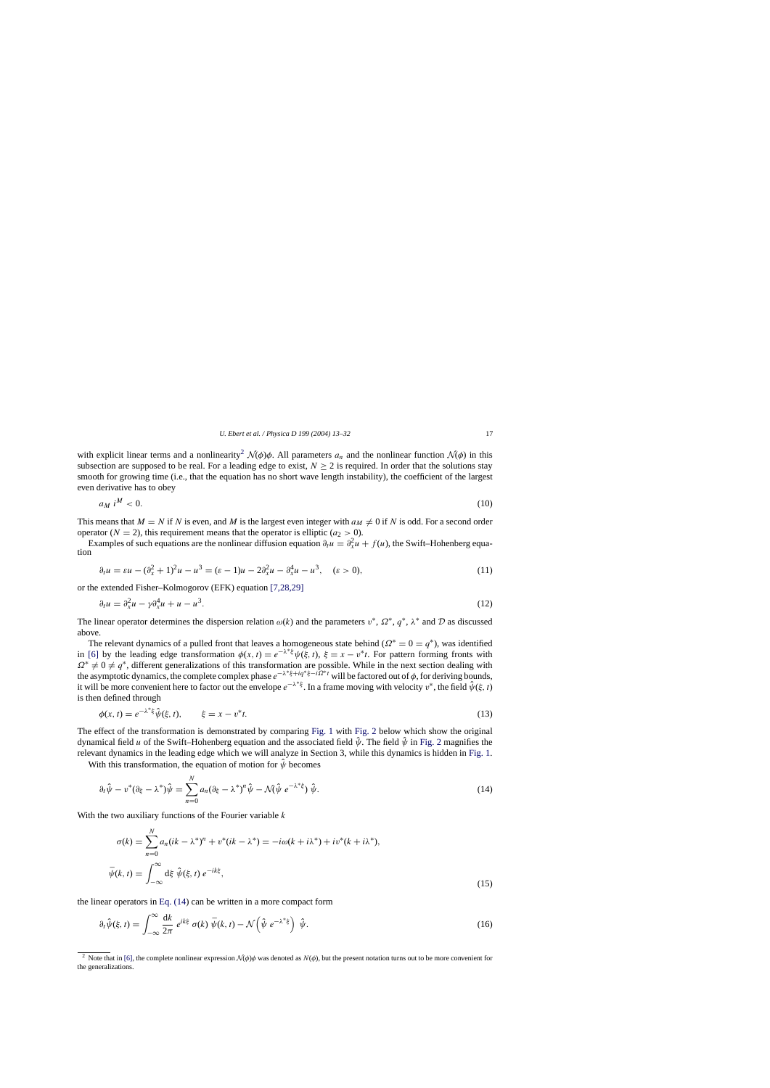<span id="page-4-0"></span>with explicit linear terms and a nonlinearity<sup>2</sup>  $\mathcal{N}(\phi)\phi$ . All parameters  $a_n$  and the nonlinear function  $\mathcal{N}(\phi)$  in this subsection are supposed to be real. For a leading edge to exist,  $N > 2$  is required. In order that the solutions stay smooth for growing time (i.e., that the equation has no short wave length instability), the coefficient of the largest even derivative has to obey

$$
a_M i^M < 0. \tag{10}
$$

This means that  $M = N$  if N is even, and M is the largest even integer with  $a_M \neq 0$  if N is odd. For a second order operator ( $N = 2$ ), this requirement means that the operator is elliptic ( $a_2 > 0$ ).

Examples of such equations are the nonlinear diffusion equation  $\partial_t u = \partial_x^2 u + f(u)$ , the Swift–Hohenberg equation

$$
\partial_t u = \varepsilon u - (\partial_x^2 + 1)^2 u - u^3 = (\varepsilon - 1)u - 2\partial_x^2 u - \partial_x^4 u - u^3, \quad (\varepsilon > 0),
$$
\n(11)

or the extended Fisher–Kolmogorov (EFK) equation [\[7,28,29\]](#page-18-0)

$$
\partial_t u = \partial_x^2 u - \gamma \partial_x^4 u + u - u^3. \tag{12}
$$

The linear operator determines the dispersion relation  $\omega(k)$  and the parameters  $v^*, \Omega^*, q^*, \lambda^*$  and D as discussed above.

The relevant dynamics of a pulled front that leaves a homogeneous state behind ( $\Omega^* = 0 = q^*$ ), was identified in [\[6\]](#page-18-0) by the leading edge transformation  $\phi(x, t) = e^{-\lambda * \xi} \psi(\xi, t)$ ,  $\xi = x - v^*t$ . For pattern forming fronts with  $\Omega^* \neq 0 \neq q^*$ , different generalizations of this transformation are possible. While in the next section dealing with the asymptotic dynamics, the complete complex phase  $e^{-\lambda^* \xi + iq^* \xi - i\Omega^* t}$  will be factored out of  $\phi$ , for deriving bounds, it will be more convenient here to factor out the envelope  $e^{-\lambda * \xi}$ . In a frame moving with velocity  $v^*$ , the field  $\hat{\psi}(\xi, t)$ is then defined through

$$
\phi(x,t) = e^{-\lambda^* \xi} \hat{\psi}(\xi, t), \qquad \xi = x - v^* t. \tag{13}
$$

The effect of the transformation is demonstrated by comparing [Fig. 1](#page-1-0) with [Fig. 2](#page-5-0) below which show the original dynamical field u of the Swift–Hohenberg equation and the associated field  $\hat{\psi}$ . The field  $\hat{\psi}$  in [Fig. 2](#page-5-0) magnifies the relevant dynamics in the leading edge which we will analyze in Section 3, while this dynamics is hidden in [Fig. 1.](#page-1-0)

With this transformation, the equation of motion for  $\hat{\psi}$  becomes

$$
\partial_t \hat{\psi} - v^*(\partial_{\xi} - \lambda^*)\hat{\psi} = \sum_{n=0}^N a_n(\partial_{\xi} - \lambda^*)^n \hat{\psi} - \mathcal{N}(\hat{\psi} e^{-\lambda^* \xi}) \hat{\psi}.
$$
\n(14)

With the two auxiliary functions of the Fourier variable  $k$ 

$$
\sigma(k) = \sum_{n=0}^{N} a_n (ik - \lambda^*)^n + v^* (ik - \lambda^*) = -i\omega(k + i\lambda^*) + iv^* (k + i\lambda^*),
$$
  

$$
\bar{\psi}(k, t) = \int_{-\infty}^{\infty} d\xi \ \hat{\psi}(\xi, t) \ e^{-ik\xi},
$$
\n(15)

the linear operators in Eq. (14) can be written in a more compact form

$$
\partial_t \hat{\psi}(\xi, t) = \int_{-\infty}^{\infty} \frac{dk}{2\pi} e^{ik\xi} \sigma(k) \bar{\psi}(k, t) - \mathcal{N} \left( \hat{\psi} e^{-\lambda^* \xi} \right) \hat{\psi}.
$$
 (16)

<sup>&</sup>lt;sup>2</sup> Note that in [\[6\], t](#page-18-0)he complete nonlinear expression  $\mathcal{N}(\phi)\phi$  was denoted as  $\mathcal{N}(\phi)$ , but the present notation turns out to be more convenient for the generalizations.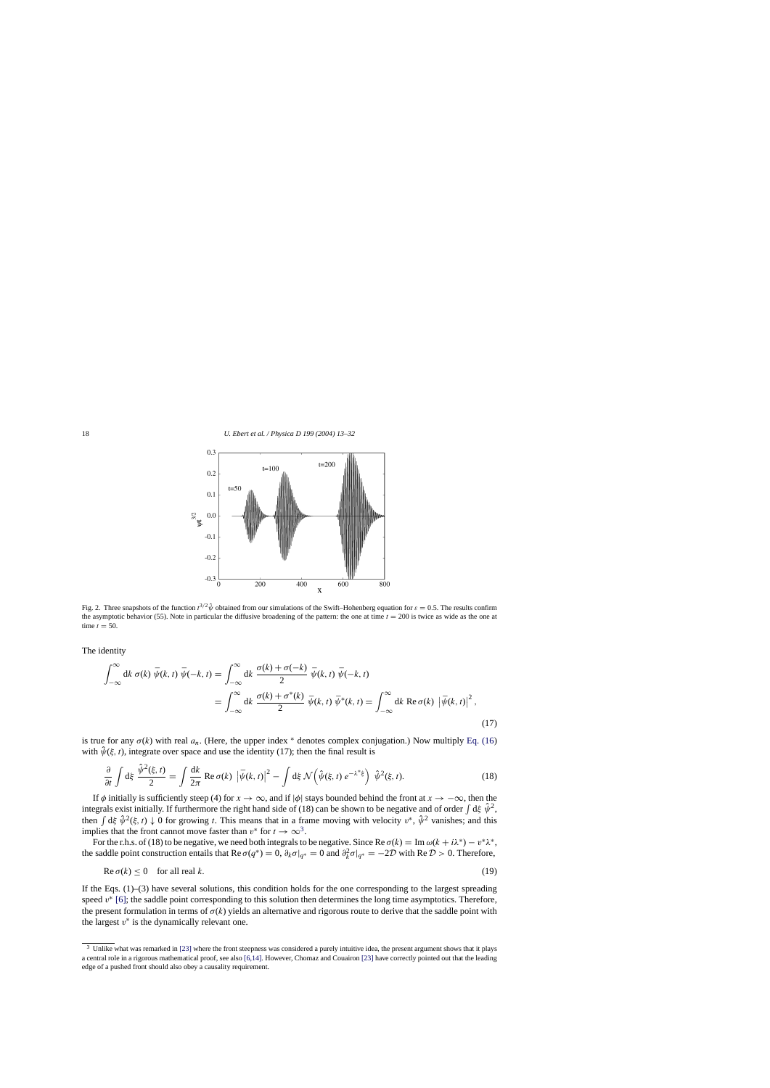<span id="page-5-0"></span>

Fig. 2. Three snapshots of the function  $t^{3/2} \hat{\psi}$  obtained from our simulations of the Swift–Hohenberg equation for  $\varepsilon = 0.5$ . The results confirm the asymptotic behavior (55). Note in particular the diffusive broadening of the pattern: the one at time  $t = 200$  is twice as wide as the one at time  $t = 50$ .

The identity

$$
\int_{-\infty}^{\infty} dk \,\sigma(k) \,\bar{\psi}(k,t) \,\bar{\psi}(-k,t) = \int_{-\infty}^{\infty} dk \,\frac{\sigma(k) + \sigma(-k)}{2} \,\bar{\psi}(k,t) \,\bar{\psi}(-k,t)
$$

$$
= \int_{-\infty}^{\infty} dk \,\frac{\sigma(k) + \sigma^*(k)}{2} \,\bar{\psi}(k,t) \,\bar{\psi}^*(k,t) = \int_{-\infty}^{\infty} dk \,\text{Re}\,\sigma(k) \,\left|\bar{\psi}(k,t)\right|^2,\tag{17}
$$

is true for any  $\sigma(k)$  with real  $a_n$ . (Here, the upper index \* denotes complex conjugation.) Now multiply [Eq. \(16\)](#page-4-0) with  $\hat{\psi}(\xi, t)$ , integrate over space and use the identity (17); then the final result is

$$
\frac{\partial}{\partial t} \int d\xi \frac{\hat{\psi}^2(\xi, t)}{2} = \int \frac{dk}{2\pi} \operatorname{Re} \sigma(k) \left| \bar{\psi}(k, t) \right|^2 - \int d\xi \, \mathcal{N} \left( \hat{\psi}(\xi, t) \, e^{-\lambda^* \xi} \right) \, \hat{\psi}^2(\xi, t). \tag{18}
$$

If  $\phi$  initially is sufficiently steep (4) for  $x \to \infty$ , and if  $|\phi|$  stays bounded behind the front at  $x \to -\infty$ , then the integrals exist initially. If furthermore the right hand side of (18) can be shown to be negative and of order  $\int d\xi \hat{\psi}^2$ , then  $\int d\xi \hat{\psi}^2(\xi, t) \downarrow 0$  for growing t. This means that in a frame moving with velocity  $v^*$ ,  $\hat{\psi}^2$  vanishes; and this implies that the front cannot move faster than  $v^*$  for  $t \to \infty^3$ .

For the r.h.s. of (18) to be negative, we need both integrals to be negative. Since Re  $\sigma(k) = \text{Im } \omega(k + i\lambda^*) - v^*\lambda^*$ , the saddle point construction entails that Re  $\sigma(q^*) = 0$ ,  $\partial_k \sigma|_{q^*} = 0$  and  $\partial_k^2 \sigma|_{q^*} = -2D$  with Re  $D > 0$ . Therefore,

$$
\operatorname{Re}\sigma(k) \le 0 \quad \text{for all real } k. \tag{19}
$$

If the Eqs. (1)–(3) have several solutions, this condition holds for the one corresponding to the largest spreading speed  $v^*$  [\[6\];](#page-18-0) the saddle point corresponding to this solution then determines the long time asymptotics. Therefore, the present formulation in terms of  $\sigma(k)$  yields an alternative and rigorous route to derive that the saddle point with the largest  $v^*$  is the dynamically relevant one.

<sup>&</sup>lt;sup>3</sup> Unlike what was remarked in [\[23\]](#page-18-0) [w](#page-18-0)here the front steepness was considered a purely intuitive idea, the present argument shows that it plays a central role in a rigorous mathematical proof, see also [\[6,14\]. H](#page-18-0)owever, Chomaz and Couairon [\[23\]](#page-18-0) [h](#page-18-0)ave correctly pointed out that the leading edge of a pushed front should also obey a causality requirement.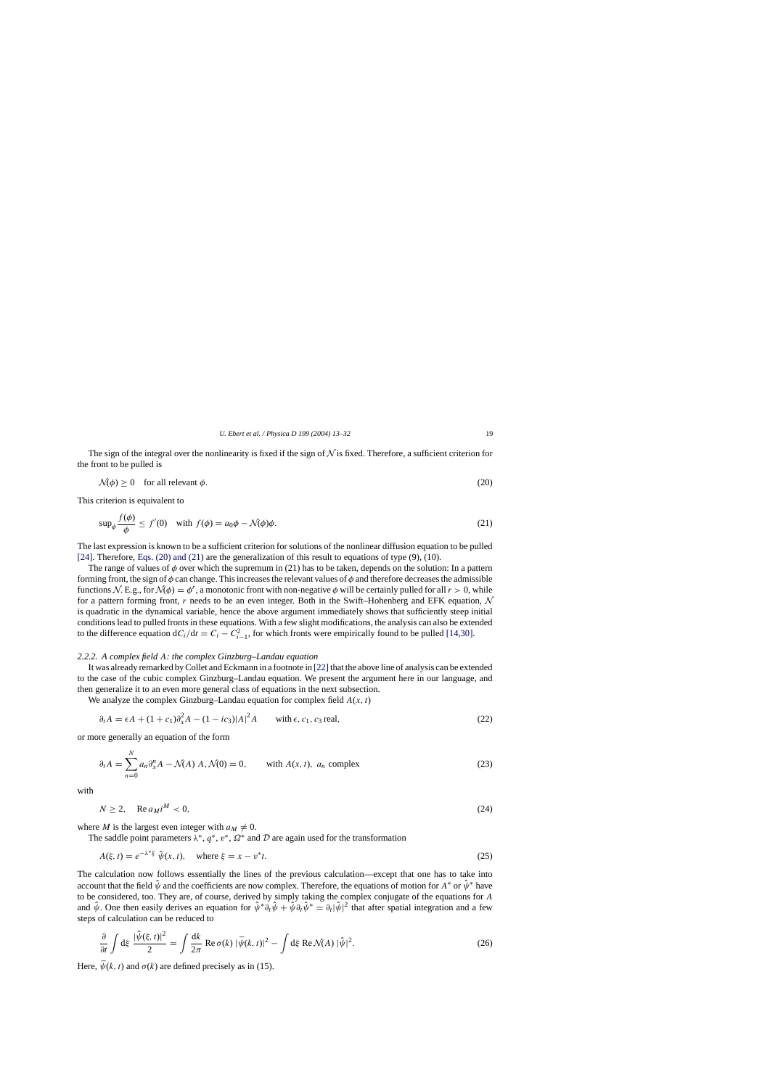<span id="page-6-0"></span>The sign of the integral over the nonlinearity is fixed if the sign of  $\mathcal N$  is fixed. Therefore, a sufficient criterion for the front to be pulled is

$$
\mathcal{N}(\phi) \ge 0 \quad \text{for all relevant } \phi. \tag{20}
$$

This criterion is equivalent to

$$
\sup_{\phi} \frac{f(\phi)}{\phi} \le f'(0) \quad \text{with } f(\phi) = a_0 \phi - \mathcal{N}(\phi)\phi. \tag{21}
$$

The last expression is known to be a sufficient criterion for solutions of the nonlinear diffusion equation to be pulled [\[24\].](#page-18-0) Therefore, Eqs. (20) and (21) are the generalization of this result to equations of type (9), (10).

The range of values of  $\phi$  over which the supremum in (21) has to be taken, depends on the solution: In a pattern forming front, the sign of  $\phi$  can change. This increases the relevant values of  $\phi$  and therefore decreases the admissible functions N. E.g., for  $\mathcal{N}(\phi) = \phi^r$ , a monotonic front with non-negative  $\phi$  will be certainly pulled for all  $r > 0$ , while for a pattern forming front, r needs to be an even integer. Both in the Swift–Hohenberg and EFK equation,  $\mathcal N$ is quadratic in the dynamical variable, hence the above argument immediately shows that sufficiently steep initial conditions lead to pulled fronts in these equations. With a few slight modifications, the analysis can also be extended to the difference equation  $dC_i/dt = C_i - C_{i-1}^2$ , for which fronts were empirically found to be pulled [\[14,30\].](#page-18-0)

# *2.2.2. A complex field* A*: the complex Ginzburg–Landau equation*

It was already remarked by Collet and Eckmann in a footnote in [22] that the above line of analysis can be extended to the case of the cubic complex Ginzburg–Landau equation. We present the argument here in our language, and then generalize it to an even more general class of equations in the next subsection.

We analyze the complex Ginzburg–Landau equation for complex field  $A(x, t)$ 

$$
\partial_t A = \epsilon A + (1 + c_1)\partial_x^2 A - (1 - ic_3)|A|^2 A \quad \text{with } \epsilon, c_1, c_3 \text{ real},
$$
\n
$$
(22)
$$

or more generally an equation of the form

$$
\partial_t A = \sum_{n=0}^{N} a_n \partial_x^n A - \mathcal{N}(A) A, \mathcal{N}(0) = 0, \quad \text{with } A(x, t), \ a_n \text{ complex}
$$
\n
$$
(23)
$$

with

$$
N \ge 2, \quad \text{Re } a_M i^M < 0,\tag{24}
$$

where M is the largest even integer with  $a_M \neq 0$ .

The saddle point parameters  $\lambda^*, q^*, v^*, \Omega^*$  and D are again used for the transformation

$$
A(\xi, t) = e^{-\lambda^* \xi} \hat{\psi}(x, t), \text{ where } \xi = x - v^* t. \tag{25}
$$

The calculation now follows essentially the lines of the previous calculation—except that one has to take into account that the field  $\hat{\psi}$  and the coefficients are now complex. Therefore, the equations of motion for  $A^*$  or  $\hat{\psi}^*$  have to be considered, too. They are, of course, derived by simply taking the complex conjugate of the equations for A and  $\hat{\psi}$ . One then easily derives an equation for  $\hat{\psi}^* \partial_t \hat{\psi} + \hat{\psi} \partial_t \hat{\psi}^* = \partial_t |\hat{\psi}|^2$  that after spatial integration and a few steps of calculation can be reduced to

$$
\frac{\partial}{\partial t} \int d\xi \, \frac{|\hat{\psi}(\xi, t)|^2}{2} = \int \frac{dk}{2\pi} \operatorname{Re} \sigma(k) \, |\bar{\psi}(k, t)|^2 - \int d\xi \operatorname{Re} \mathcal{N}(A) \, |\hat{\psi}|^2. \tag{26}
$$

Here,  $\bar{\psi}(k, t)$  and  $\sigma(k)$  are defined precisely as in (15).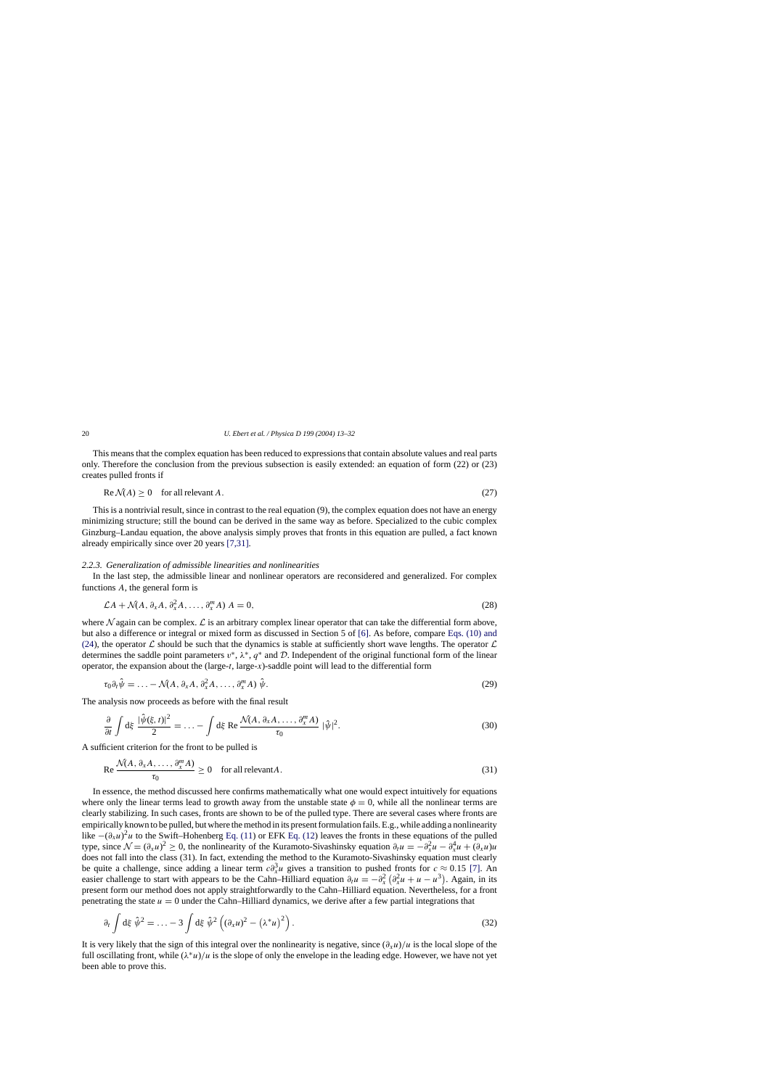This means that the complex equation has been reduced to expressions that contain absolute values and real parts only. Therefore the conclusion from the previous subsection is easily extended: an equation of form (22) or (23) creates pulled fronts if

$$
Re \mathcal{N}(A) \ge 0 \quad \text{for all relevant } A. \tag{27}
$$

This is a nontrivial result, since in contrast to the real equation (9), the complex equation does not have an energy minimizing structure; still the bound can be derived in the same way as before. Specialized to the cubic complex Ginzburg–Landau equation, the above analysis simply proves that fronts in this equation are pulled, a fact known already empirically since over 20 years [\[7,31\].](#page-18-0)

#### *2.2.3. Generalization of admissible linearities and nonlinearities*

In the last step, the admissible linear and nonlinear operators are reconsidered and generalized. For complex functions A, the general form is

$$
\mathcal{L}A + \mathcal{N}(A, \partial_x A, \partial_x^2 A, \dots, \partial_x^m A) A = 0,
$$
\n(28)

where  $\mathcal N$  again can be complex.  $\mathcal L$  is an arbitrary complex linear operator that can take the differential form above, but also a difference or integral or mixed form as discussed in Section 5 of [\[6\].](#page-18-0) As before, compare [Eqs. \(10\) and](#page-4-0) (24), the operator  $\mathcal L$  should be such that the dynamics is stable at sufficiently short wave lengths. The operator  $\mathcal L$ determines the saddle point parameters  $v^*$ ,  $\lambda^*$ ,  $q^*$  and  $\mathcal{D}$ . Independent of the original functional form of the linear operator, the expansion about the  $(\text{large-}t, \text{large-}x)$ -saddle point will lead to the differential form

$$
\tau_0 \partial_t \hat{\psi} = \ldots - \mathcal{N}(A, \partial_x A, \partial_x^2 A, \ldots, \partial_x^m A) \hat{\psi}.
$$
\n(29)

The analysis now proceeds as before with the final result

$$
\frac{\partial}{\partial t} \int d\xi \, \frac{|\hat{\psi}(\xi, t)|^2}{2} = \dots - \int d\xi \, \text{Re} \, \frac{\mathcal{N}(A, \partial_x A, \dots, \partial_x^m A)}{\tau_0} \, |\hat{\psi}|^2. \tag{30}
$$

A sufficient criterion for the front to be pulled is

$$
\operatorname{Re}\frac{\mathcal{N}(A,\partial_x A,\ldots,\partial_x^m A)}{\tau_0} \ge 0 \quad \text{for all relevant } A. \tag{31}
$$

In essence, the method discussed here confirms mathematically what one would expect intuitively for equations where only the linear terms lead to growth away from the unstable state  $\phi = 0$ , while all the nonlinear terms are clearly stabilizing. In such cases, fronts are shown to be of the pulled type. There are several cases where fronts are empirically known to be pulled, but where the method in its present formulation fails. E.g., while adding a nonlinearity like  $-(\partial_x u)^2 u$  to the Swift–Hohenberg [Eq. \(11\)](#page-4-0) or EFK [Eq. \(12\)](#page-4-0) leaves the fronts in these equations of the pulled type, since  $\mathcal{N} = (\partial_x u)^2 \ge 0$ , the nonlinearity of the Kuramoto-Sivashinsky equation  $\partial_t u = -\partial_x^2 u - \partial_x^4 u + (\partial_x u)u$ does not fall into the class (31). In fact, extending the method to the Kuramoto-Sivashinsky equation must clearly be quite a challenge, since adding a linear term  $c\partial_x^3 u$  gives a transition to pushed fronts for  $c \approx 0.15$  [\[7\].](#page-18-0) An easier challenge to start with appears to be the Cahn–Hilliard equation  $\partial_t u = -\partial_x^2 (\partial_x^2 u + u - u^3)$ . Again, in its present form our method does not apply straightforwardly to the Cahn–Hilliard equation. Nevertheless, for a front penetrating the state  $u = 0$  under the Cahn–Hilliard dynamics, we derive after a few partial integrations that

$$
\partial_t \int d\xi \, \hat{\psi}^2 = \ldots - 3 \int d\xi \, \hat{\psi}^2 \left( (\partial_x u)^2 - (\lambda^* u)^2 \right). \tag{32}
$$

It is very likely that the sign of this integral over the nonlinearity is negative, since  $(\partial_x u)/u$  is the local slope of the full oscillating front, while  $(\lambda^*u)/u$  is the slope of only the envelope in the leading edge. However, we have not yet been able to prove this.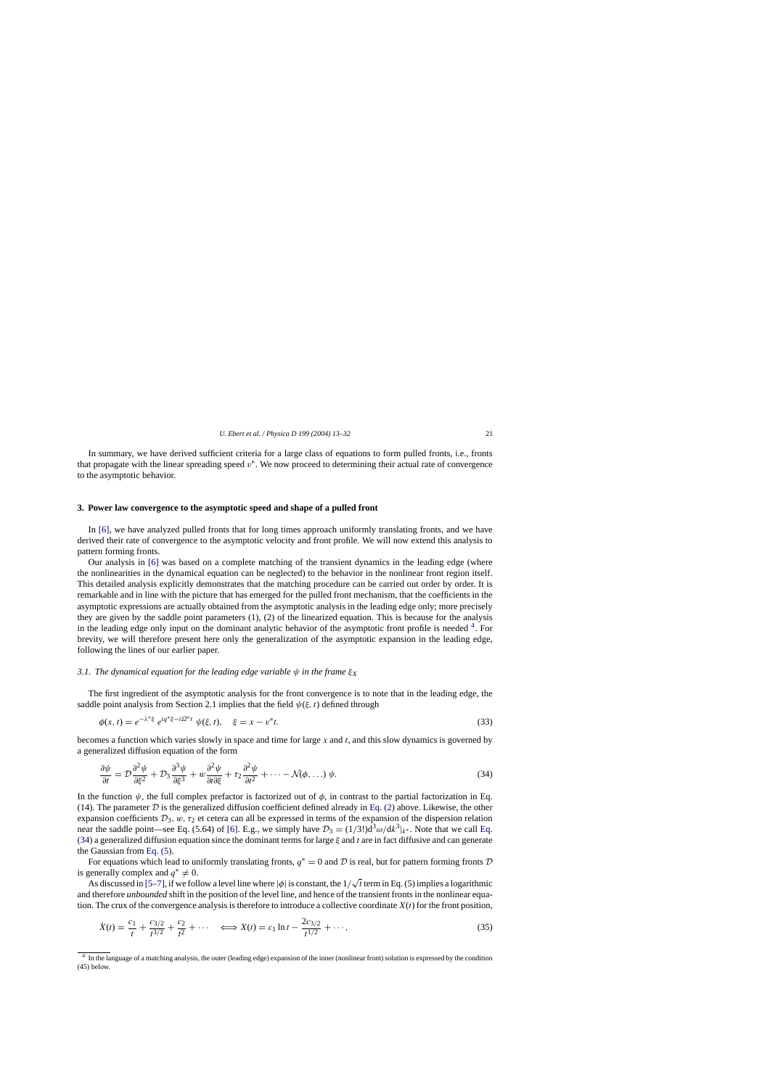<span id="page-8-0"></span>In summary, we have derived sufficient criteria for a large class of equations to form pulled fronts, i.e., fronts that propagate with the linear spreading speed  $v^*$ . We now proceed to determining their actual rate of convergence to the asymptotic behavior.

## **3. Power law convergence to the asymptotic speed and shape of a pulled front**

In [\[6\],](#page-18-0) we have analyzed pulled fronts that for long times approach uniformly translating fronts, and we have derived their rate of convergence to the asymptotic velocity and front profile. We will now extend this analysis to pattern forming fronts.

Our analysis in [\[6\]](#page-18-0) was based on a complete matching of the transient dynamics in the leading edge (where the nonlinearities in the dynamical equation can be neglected) to the behavior in the nonlinear front region itself. This detailed analysis explicitly demonstrates that the matching procedure can be carried out order by order. It is remarkable and in line with the picture that has emerged for the pulled front mechanism, that the coefficients in the asymptotic expressions are actually obtained from the asymptotic analysis in the leading edge only; more precisely they are given by the saddle point parameters (1), (2) of the linearized equation. This is because for the analysis in the leading edge only input on the dominant analytic behavior of the asymptotic front profile is needed  $4$ . For brevity, we will therefore present here only the generalization of the asymptotic expansion in the leading edge, following the lines of our earlier paper.

# *3.1. The dynamical equation for the leading edge variable*  $\psi$  *in the frame*  $\xi_X$

The first ingredient of the asymptotic analysis for the front convergence is to note that in the leading edge, the saddle point analysis from Section 2.1 implies that the field  $\psi(\xi, t)$  defined through

$$
\phi(x,t) = e^{-\lambda^* \xi} e^{iq^* \xi - i\Omega^* t} \psi(\xi,t), \quad \xi = x - v^* t. \tag{33}
$$

becomes a function which varies slowly in space and time for large x and t, and this slow dynamics is governed by a generalized diffusion equation of the form

$$
\frac{\partial \psi}{\partial t} = \mathcal{D} \frac{\partial^2 \psi}{\partial \xi^2} + \mathcal{D}_3 \frac{\partial^3 \psi}{\partial \xi^3} + w \frac{\partial^2 \psi}{\partial t \partial \xi} + \tau_2 \frac{\partial^2 \psi}{\partial t^2} + \cdots - \mathcal{N}(\phi, \ldots) \psi.
$$
\n(34)

In the function  $\psi$ , the full complex prefactor is factorized out of  $\phi$ , in contrast to the partial factorization in Eq. (14). The parameter  $D$  is the generalized diffusion coefficient defined already in [Eq. \(2\)](#page-2-0) above. Likewise, the other expansion coefficients  $\mathcal{D}_3$ , w,  $\tau_2$  et cetera can all be expressed in terms of the expansion of the dispersion relation near the saddle point—see Eq. (5.64) of [\[6\].](#page-18-0) E.g., we simply have  $\mathcal{D}_3 = (1/3!)d^3\omega/dk^3|_{k^*}$ . Note that we call Eq. (34) a generalized diffusion equation since the dominant terms for large  $\xi$  and t are in fact diffusive and can generate the Gaussian from [Eq. \(5\).](#page-3-0)

For equations which lead to uniformly translating fronts,  $q^* = 0$  and D is real, but for pattern forming fronts D is generally complex and  $q^* \neq 0$ .

As discussed in [\[5–7\], i](#page-18-0)f we follow a level line where  $|\phi|$  is constant, the  $1/\sqrt{t}$  term in Eq. (5) implies a logarithmic and therefore *unbounded* shift in the position of the level line, and hence of the transient fronts in the nonlinear equation. The crux of the convergence analysis is therefore to introduce a collective coordinate  $X(t)$  for the front position,

$$
\dot{X}(t) = \frac{c_1}{t} + \frac{c_{3/2}}{t^{3/2}} + \frac{c_2}{t^2} + \dots \quad \Longleftrightarrow X(t) = c_1 \ln t - \frac{2c_{3/2}}{t^{1/2}} + \dots,\tag{35}
$$

<sup>4</sup> In the language of a matching analysis, the outer (leading edge) expansion of the inner (nonlinear front) solution is expressed by the condition (45) below.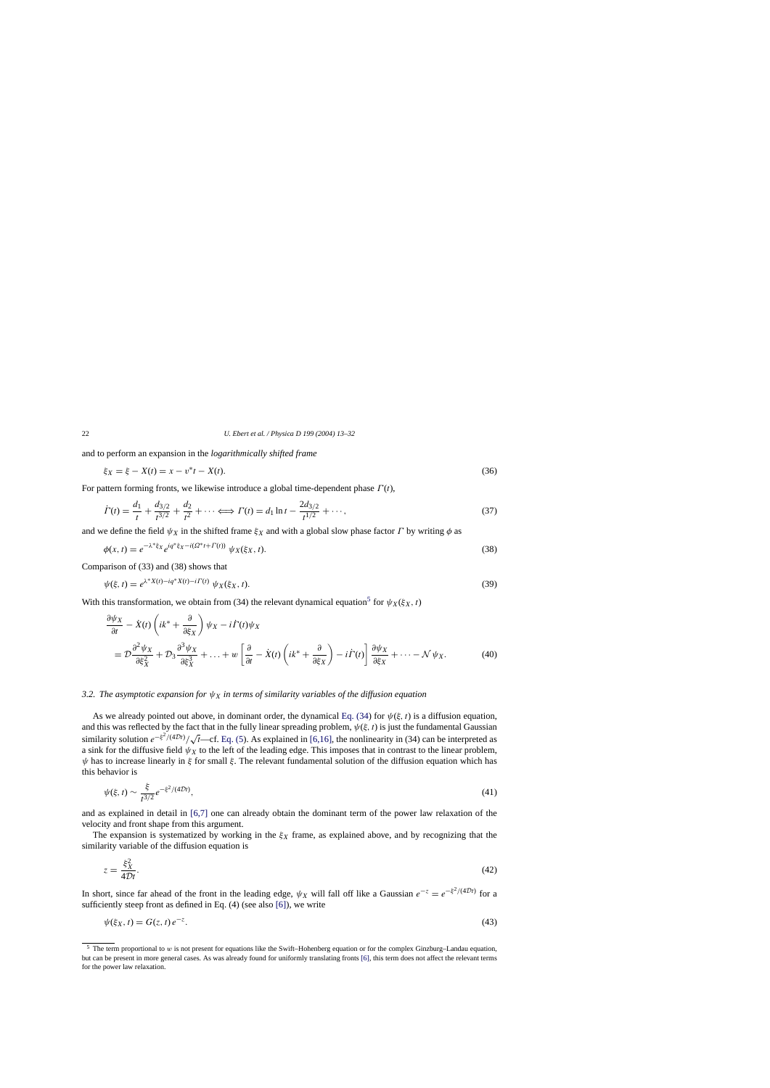and to perform an expansion in the *logarithmicallyshifted frame*

$$
\xi_X = \xi - X(t) = x - v^*t - X(t). \tag{36}
$$

For pattern forming fronts, we likewise introduce a global time-dependent phase  $\Gamma(t)$ ,

$$
\dot{\Gamma}(t) = \frac{d_1}{t} + \frac{d_{3/2}}{t^{3/2}} + \frac{d_2}{t^2} + \dots \Longleftrightarrow \Gamma(t) = d_1 \ln t - \frac{2d_{3/2}}{t^{1/2}} + \dots,\tag{37}
$$

and we define the field  $\psi_X$  in the shifted frame  $\xi_X$  and with a global slow phase factor  $\Gamma$  by writing  $\phi$  as

$$
\phi(x,t) = e^{-\lambda^* \xi_X} e^{iq^* \xi_X - i(\Omega^* t + \Gamma(t))} \psi_X(\xi_X, t).
$$
\n(38)

Comparison of (33) and (38) shows that

$$
\psi(\xi, t) = e^{\lambda^* X(t) - i q^* X(t) - i \Gamma(t)} \psi_X(\xi_X, t).
$$
\n(39)

With this transformation, we obtain from (34) the relevant dynamical equation<sup>5</sup> for  $\psi_X(\xi_X, t)$ 

$$
\frac{\partial \psi_X}{\partial t} - \dot{X}(t) \left( ik^* + \frac{\partial}{\partial \xi_X} \right) \psi_X - i \dot{\Gamma}(t) \psi_X
$$
\n
$$
= \mathcal{D} \frac{\partial^2 \psi_X}{\partial \xi_X^2} + \mathcal{D}_3 \frac{\partial^3 \psi_X}{\partial \xi_X^3} + \ldots + w \left[ \frac{\partial}{\partial t} - \dot{X}(t) \left( ik^* + \frac{\partial}{\partial \xi_X} \right) - i \dot{\Gamma}(t) \right] \frac{\partial \psi_X}{\partial \xi_X} + \cdots - \mathcal{N} \psi_X. \tag{40}
$$

## *3.2. The asymptotic expansion for*  $\psi_X$  *in terms of similarity variables of the diffusion equation*

As we already pointed out above, in dominant order, the dynamical [Eq. \(34\)](#page-8-0) for  $\psi(\xi, t)$  is a diffusion equation, and this was reflected by the fact that in the fully linear spreading problem,  $\psi(\xi, t)$  is just the fundamental Gaussian similarity solution  $e^{-\xi^2/(4Dt)}/\sqrt{t}$ —cf. [Eq. \(5\).](#page-3-0) As explained in [\[6,16\], t](#page-18-0)he nonlinearity in (34) can be interpreted as a sink for the diffusive field  $\psi_X$  to the left of the leading edge. This imposes that in contrast to the linear problem,  $\psi$  has to increase linearly in ξ for small ξ. The relevant fundamental solution of the diffusion equation which has this behavior is

$$
\psi(\xi, t) \sim \frac{\xi}{t^{3/2}} e^{-\xi^2/(4Dt)},
$$
\n(41)

and as explained in detail in [\[6,7\]](#page-18-0) one can already obtain the dominant term of the power law relaxation of the velocity and front shape from this argument.

The expansion is systematized by working in the  $\xi_X$  frame, as explained above, and by recognizing that the similarity variable of the diffusion equation is

$$
z = \frac{\xi_X^2}{4Dt}.\tag{42}
$$

In short, since far ahead of the front in the leading edge,  $\psi_X$  will fall off like a Gaussian  $e^{-z} = e^{-\xi^2/(4Dt)}$  for a sufficiently steep front as defined in Eq. (4) (see also [\[6\]\),](#page-18-0) we write

$$
\psi(\xi_X, t) = G(z, t) e^{-z}.\tag{43}
$$

<span id="page-9-0"></span>

<sup>&</sup>lt;sup>5</sup> The term proportional to w is not present for equations like the Swift–Hohenberg equation or for the complex Ginzburg–Landau equation, but can be present in more general cases. As was already found for uniformly translating fronts [\[6\], t](#page-18-0)his term does not affect the relevant terms for the power law relaxation.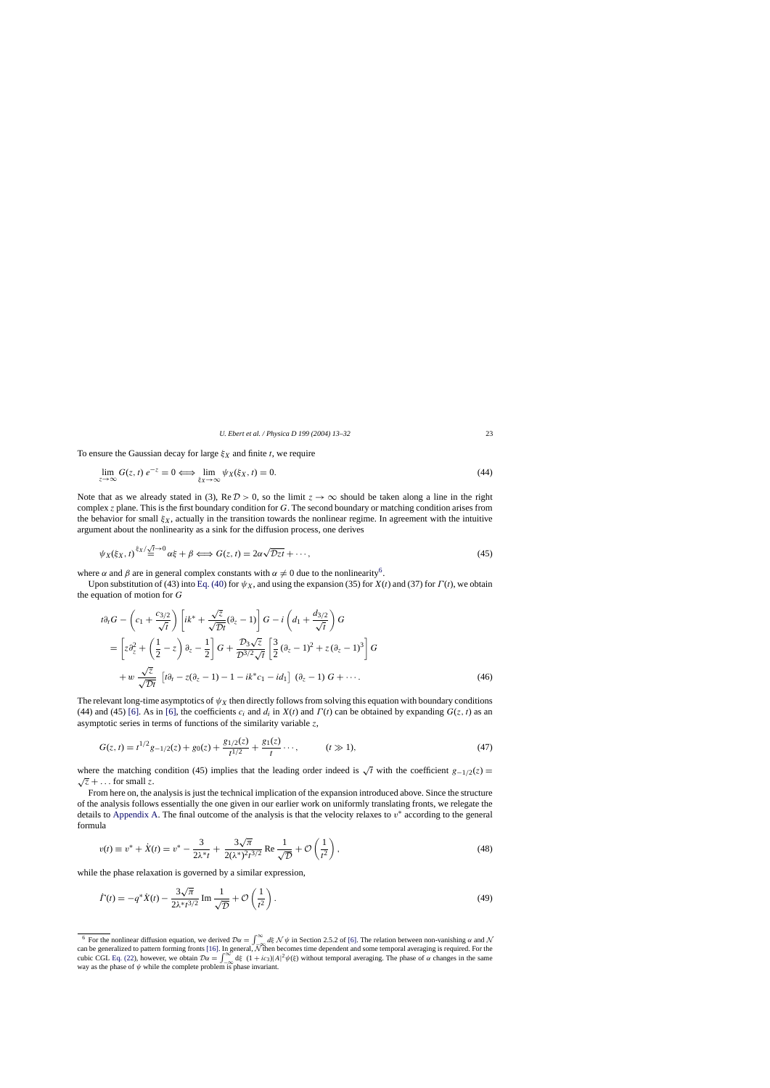<span id="page-10-0"></span>To ensure the Gaussian decay for large  $\xi_X$  and finite t, we require

$$
\lim_{z \to \infty} G(z, t) e^{-z} = 0 \Longleftrightarrow \lim_{\xi_X \to \infty} \psi_X(\xi_X, t) = 0.
$$
\n(44)

Note that as we already stated in (3), Re  $\mathcal{D} > 0$ , so the limit  $z \to \infty$  should be taken along a line in the right complex z plane. This is the first boundary condition for G. The second boundary or matching condition arises from the behavior for small  $\xi_X$ , actually in the transition towards the nonlinear regime. In agreement with the intuitive argument about the nonlinearity as a sink for the diffusion process, one derives

$$
\psi_X(\xi_X, t) \stackrel{\xi_X/\sqrt{t}\to 0}{=} \alpha\xi + \beta \Longleftrightarrow G(z, t) = 2\alpha\sqrt{\mathcal{D}z}t + \cdots,
$$
\n(45)

where  $\alpha$  and  $\beta$  are in general complex constants with  $\alpha \neq 0$  due to the nonlinearity<sup>6</sup>.

Upon substitution of (43) into [Eq. \(40\) f](#page-9-0)or  $\psi_X$ , and using the expansion (35) for X(t) and (37) for  $\Gamma(t)$ , we obtain the equation of motion for G

$$
t\partial_t G - \left(c_1 + \frac{c_{3/2}}{\sqrt{t}}\right) \left[ik^* + \frac{\sqrt{z}}{\sqrt{Dt}}(\partial_z - 1)\right] G - i\left(d_1 + \frac{d_{3/2}}{\sqrt{t}}\right) G
$$
  
\n
$$
= \left[z\partial_z^2 + \left(\frac{1}{2} - z\right)\partial_z - \frac{1}{2}\right] G + \frac{\mathcal{D}_3\sqrt{z}}{\mathcal{D}^{3/2}\sqrt{t}} \left[\frac{3}{2}(\partial_z - 1)^2 + z(\partial_z - 1)^3\right] G
$$
  
\n
$$
+ w \frac{\sqrt{z}}{\sqrt{\mathcal{D}t}} \left[t\partial_t - z(\partial_z - 1) - 1 - ik^*c_1 - id_1\right] (\partial_z - 1) G + \cdots.
$$
\n(46)

The relevant long-time asymptotics of  $\psi_X$  then directly follows from solving this equation with boundary conditions (44) and (45) [\[6\]. A](#page-18-0)s in [\[6\], t](#page-18-0)he coefficients  $c_i$  and  $d_i$  in  $X(t)$  and  $\Gamma(t)$  can be obtained by expanding  $G(z, t)$  as an asymptotic series in terms of functions of the similarity variable  $z$ ,

$$
G(z,t) = t^{1/2}g_{-1/2}(z) + g_0(z) + \frac{g_{1/2}(z)}{t^{1/2}} + \frac{g_1(z)}{t} \cdots, \qquad (t \gg 1),
$$
\n(47)

where the matching condition (45) implies that the leading order indeed is  $\sqrt{t}$  with the coefficient  $g_{-1/2}(z) = \sqrt{z} + \dots$  for small z.

From here on, the analysis is just the technical implication of the expansion introduced above. Since the structure of the analysis follows essentially the one given in our earlier work on uniformly translating fronts, we relegate the details to [Appendix A. T](#page-15-0)he final outcome of the analysis is that the velocity relaxes to  $v^*$  according to the general formula

$$
v(t) \equiv v^* + \dot{X}(t) = v^* - \frac{3}{2\lambda^* t} + \frac{3\sqrt{\pi}}{2(\lambda^*)^2 t^{3/2}} \operatorname{Re} \frac{1}{\sqrt{\mathcal{D}}} + \mathcal{O}\left(\frac{1}{t^2}\right),\tag{48}
$$

while the phase relaxation is governed by a similar expression,

$$
\dot{\Gamma}(t) = -q^* \dot{X}(t) - \frac{3\sqrt{\pi}}{2\lambda^* t^{3/2}} \operatorname{Im} \frac{1}{\sqrt{\mathcal{D}}} + \mathcal{O}\left(\frac{1}{t^2}\right). \tag{49}
$$

<sup>&</sup>lt;sup>6</sup> For the nonlinear diffusion equation, we derived  $\mathcal{D}\alpha = \int_{-\infty}^{\infty} d\xi \, \mathcal{N} \psi$  in Section 2.5.2 of [\[6\]. T](#page-18-0)he relation between non-vanishing  $\alpha$  and  $\mathcal{N}$  can be generalized to pattern forming fronts [\[16\]. I](#page-18-0)n cubic CGL [Eq. \(22\),](#page-6-0) however, we obtain  $\mathcal{D}\alpha = \int_{-\infty}^{\infty} d\xi (1 + ic_3)|A|^2 \psi(\xi)$  without temporal averaging. The phase of  $\alpha$  changes in the same way as the phase of  $\psi$  while the complete problem is phase invariant.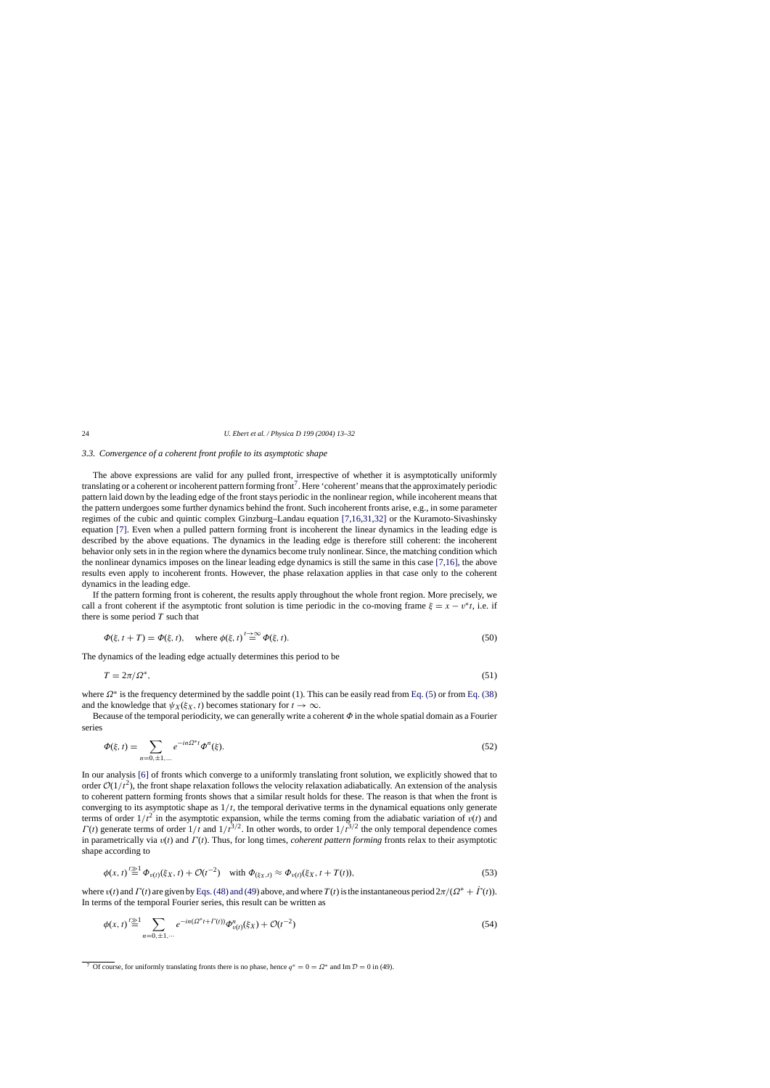# *3.3. Convergence of a coherent front profile to its asymptotic shape*

The above expressions are valid for any pulled front, irrespective of whether it is asymptotically uniformly translating or a coherent or incoherent pattern forming front<sup>7</sup>. Here 'coherent' means that the approximately periodic pattern laid down by the leading edge of the front stays periodic in the nonlinear region, while incoherent means that the pattern undergoes some further dynamics behind the front. Such incoherent fronts arise, e.g., in some parameter regimes of the cubic and quintic complex Ginzburg–Landau equation [\[7,16,31,32\]](#page-18-0) or the Kuramoto-Sivashinsky equation [\[7\].](#page-18-0) Even when a pulled pattern forming front is incoherent the linear dynamics in the leading edge is described by the above equations. The dynamics in the leading edge is therefore still coherent: the incoherent behavior only sets in in the region where the dynamics become truly nonlinear. Since, the matching condition which the nonlinear dynamics imposes on the linear leading edge dynamics is still the same in this case [\[7,16\], t](#page-18-0)he above results even apply to incoherent fronts. However, the phase relaxation applies in that case only to the coherent dynamics in the leading edge.

If the pattern forming front is coherent, the results apply throughout the whole front region. More precisely, we call a front coherent if the asymptotic front solution is time periodic in the co-moving frame  $\xi = x - v^*t$ , i.e. if there is some period  $T$  such that

$$
\Phi(\xi, t + T) = \Phi(\xi, t), \quad \text{where } \phi(\xi, t) \stackrel{t \to \infty}{=} \Phi(\xi, t). \tag{50}
$$

The dynamics of the leading edge actually determines this period to be

$$
T = 2\pi/\Omega^*,\tag{51}
$$

where  $\Omega^*$  is the frequency determined by the saddle point (1). This can be easily read from [Eq. \(5\)](#page-3-0) or from [Eq. \(38\)](#page-9-0) and the knowledge that  $\psi_X(\xi_X, t)$  becomes stationary for  $t \to \infty$ .

Because of the temporal periodicity, we can generally write a coherent  $\Phi$  in the whole spatial domain as a Fourier series

$$
\Phi(\xi, t) = \sum_{n=0, \pm 1, \dots} e^{-in\Omega^* t} \Phi^n(\xi). \tag{52}
$$

In our analysis [\[6\]](#page-18-0) of fronts which converge to a uniformly translating front solution, we explicitly showed that to order  $O(1/t^2)$ , the front shape relaxation follows the velocity relaxation adiabatically. An extension of the analysis to coherent pattern forming fronts shows that a similar result holds for these. The reason is that when the front is converging to its asymptotic shape as  $1/t$ , the temporal derivative terms in the dynamical equations only generate terms of order  $1/t^2$  in the asymptotic expansion, while the terms coming from the adiabatic variation of  $v(t)$  and  $\Gamma(t)$  generate terms of order  $1/t$  and  $1/t^{3/2}$ . In other words, to order  $1/t^{3/2}$  the only temporal dependence comes in parametrically via  $v(t)$  and  $\Gamma(t)$ . Thus, for long times, *coherent pattern forming* fronts relax to their asymptotic shape according to

$$
\phi(x, t) \stackrel{t \geq 1}{=} \Phi_{v(t)}(\xi_X, t) + \mathcal{O}(t^{-2}) \quad \text{with } \Phi_{(\xi_X, t)} \approx \Phi_{v(t)}(\xi_X, t + T(t)), \tag{53}
$$

where  $v(t)$  and  $\Gamma(t)$  are given by [Eqs. \(48\) and \(49\) a](#page-10-0)bove, and where  $T(t)$  is the instantaneous period  $2\pi/(\Omega^* + \Gamma(t))$ . In terms of the temporal Fourier series, this result can be written as

$$
\phi(x,t) \stackrel{t \geq 1}{=} \sum_{n=0,\pm 1,\cdots} e^{-in(\Omega^* t + \Gamma(t))} \Phi_{v(t)}^n(\xi_X) + \mathcal{O}(t^{-2})
$$
\n(54)

<sup>&</sup>lt;sup>7</sup> Of course, for uniformly translating fronts there is no phase, hence  $q^* = 0 = \Omega^*$  and Im  $\mathcal{D} = 0$  in (49).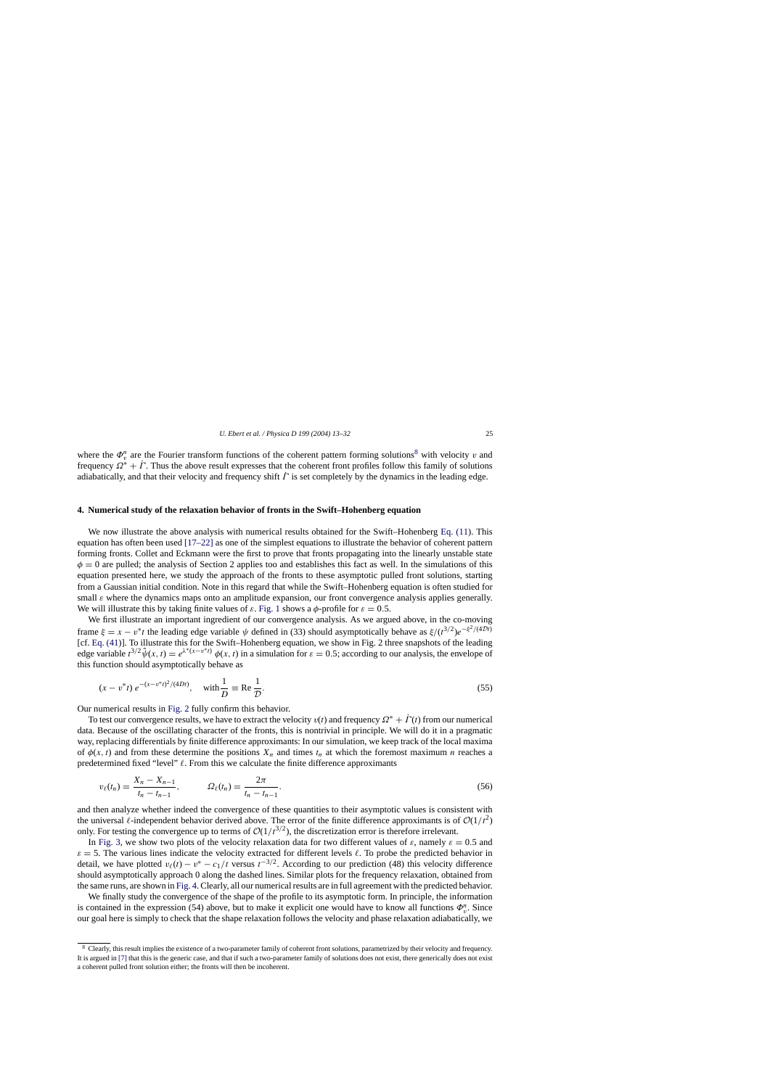where the  $\Phi_v^n$  are the Fourier transform functions of the coherent pattern forming solutions<sup>8</sup> with velocity v and frequency  $\Omega^* + \dot{\Gamma}$ . Thus the above result expresses that the coherent front profiles follow this family of solutions adiabatically, and that their velocity and frequency shift  $\ddot{\Gamma}$  is set completely by the dynamics in the leading edge.

## **4. Numerical study of the relaxation behavior of fronts in the Swift–Hohenberg equation**

We now illustrate the above analysis with numerical results obtained for the Swift–Hohenberg [Eq. \(11\).](#page-4-0) This equation has often been used [\[17–22\]](#page-18-0) as one of the simplest equations to illustrate the behavior of coherent pattern forming fronts. Collet and Eckmann were the first to prove that fronts propagating into the linearly unstable state  $\phi = 0$  are pulled; the analysis of Section 2 applies too and establishes this fact as well. In the simulations of this equation presented here, we study the approach of the fronts to these asymptotic pulled front solutions, starting from a Gaussian initial condition. Note in this regard that while the Swift–Hohenberg equation is often studied for small  $\varepsilon$  where the dynamics maps onto an amplitude expansion, our front convergence analysis applies generally. We will illustrate this by taking finite values of  $\varepsilon$ . [Fig. 1](#page-1-0) shows a  $\phi$ -profile for  $\varepsilon = 0.5$ .

We first illustrate an important ingredient of our convergence analysis. As we argued above, in the co-moving frame  $\xi = x - v^*t$  the leading edge variable  $\psi$  defined in (33) should asymptotically behave as  $\xi/(t^{3/2})e^{-\xi^2/(4Dt)}$ [cf. [Eq. \(41\)\]](#page-9-0). To illustrate this for the Swift–Hohenberg equation, we show in Fig. 2 three snapshots of the leading edge variable  $t^{3/2}\hat{\psi}(x, t) = e^{\lambda^*(x-v^*t)} \phi(x, t)$  in a simulation for  $\varepsilon = 0.5$ ; according to our analysis, the envelope of this function should asymptotically behave as

$$
(x - v^*t) e^{-(x - v^*t)^2/(4Dt)}, \quad \text{with} \frac{1}{D} \equiv \text{Re} \frac{1}{D}.
$$
 (55)

Our numerical results in [Fig. 2](#page-5-0) fully confirm this behavior.

To test our convergence results, we have to extract the velocity  $v(t)$  and frequency  $\Omega^* + \Gamma(t)$  from our numerical data. Because of the oscillating character of the fronts, this is nontrivial in principle. We will do it in a pragmatic way, replacing differentials by finite difference approximants: In our simulation, we keep track of the local maxima of  $\phi(x, t)$  and from these determine the positions  $X_n$  and times  $t_n$  at which the foremost maximum n reaches a predetermined fixed "level"  $\ell$ . From this we calculate the finite difference approximants

$$
v_{\ell}(t_n) = \frac{X_n - X_{n-1}}{t_n - t_{n-1}}, \qquad \Omega_{\ell}(t_n) = \frac{2\pi}{t_n - t_{n-1}}.
$$
\n(56)

and then analyze whether indeed the convergence of these quantities to their asymptotic values is consistent with the universal  $\ell$ -independent behavior derived above. The error of the finite difference approximants is of  $O(1/t^2)$ only. For testing the convergence up to terms of  $\mathcal{O}(1/t^{3/2})$ , the discretization error is therefore irrelevant.

In [Fig. 3,](#page-13-0) we show two plots of the velocity relaxation data for two different values of  $\varepsilon$ , namely  $\varepsilon = 0.5$  and  $\varepsilon = 5$ . The various lines indicate the velocity extracted for different levels  $\ell$ . To probe the predicted behavior in detail, we have plotted  $v_{\ell}(t) - v^* - c_1/t$  versus  $t^{-3/2}$ . According to our prediction (48) this velocity difference should asymptotically approach 0 along the dashed lines. Similar plots for the frequency relaxation, obtained from the same runs, are shown in [Fig. 4. C](#page-13-0)learly, all our numerical results are in full agreement with the predicted behavior.

We finally study the convergence of the shape of the profile to its asymptotic form. In principle, the information is contained in the expression (54) above, but to make it explicit one would have to know all functions  $\Phi_v^n$ . Since our goal here is simply to check that the shape relaxation follows the velocity and phase relaxation adiabatically, we

<sup>&</sup>lt;sup>8</sup> Clearly, this result implies the existence of a two-parameter family of coherent front solutions, parametrized by their velocity and frequency. It is argued in [\[7\]](#page-18-0) [th](#page-18-0)at this is the generic case, and that if such a two-parameter family of solutions does not exist, there generically does not exist a coherent pulled front solution either; the fronts will then be incoherent.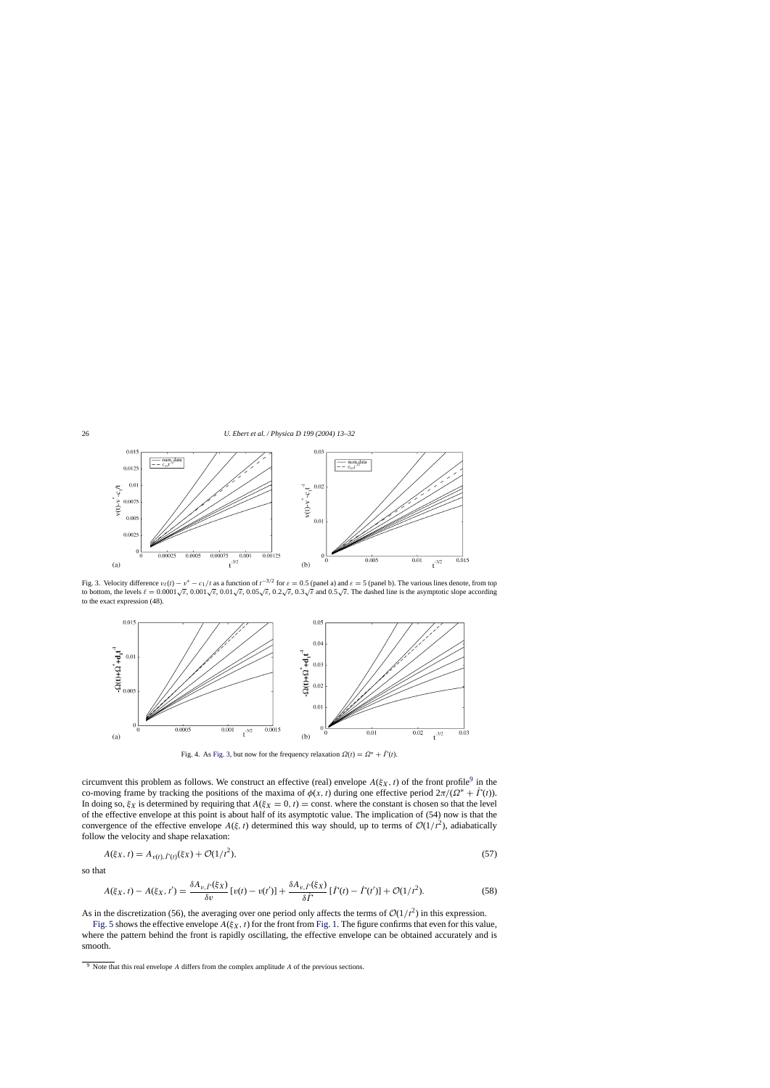<span id="page-13-0"></span>

Fig. 3. Velocity difference  $v_{\ell}(t) - v^* - c_1/t$  as a function of  $t^{-3/2}$  for  $\varepsilon = 0.5$  (panel a) and  $\varepsilon = 5$  (panel b). The various lines denote, from top to bottom, the levels  $\ell = 0.0001\sqrt{\varepsilon}$ ,  $0.001\sqrt{\varepsilon}$ ,  $0.01\sqrt{\varepsilon}$ ,  $0.05\sqrt{\varepsilon}$ ,  $0.2\sqrt{\varepsilon}$ ,  $0.3\sqrt{\varepsilon}$  and  $0.5\sqrt{\varepsilon}$ . The dashed line is the asymptotic slope according to the exact expression (48).



Fig. 4. As Fig. 3, but now for the frequency relaxation  $\Omega(t) = \Omega^* + \dot{\Gamma}(t)$ .

circumvent this problem as follows. We construct an effective (real) envelope  $A(\xi_X, t)$  of the front profile<sup>9</sup> in the co-moving frame by tracking the positions of the maxima of  $\phi(x, t)$  during one effective period  $2\pi/(Ω^* + \Gamma(t))$ . In doing so,  $\xi_X$  is determined by requiring that  $A(\xi_X = 0, t) = \text{const.}$  where the constant is chosen so that the level of the effective envelope at this point is about half of its asymptotic value. The implication of (54) now is that the convergence of the effective envelope  $A(\xi, t)$  determined this way should, up to terms of  $\mathcal{O}(1/t^2)$ , adiabatically follow the velocity and shape relaxation:

$$
A(\xi_X, t) = A_{v(t), \dot{\Gamma}(t)}(\xi_X) + \mathcal{O}(1/t^2),\tag{57}
$$

so that

$$
A(\xi_X, t) - A(\xi_X, t') = \frac{\delta A_{v, \dot{\Gamma}}(\xi_X)}{\delta v} \left[ v(t) - v(t') \right] + \frac{\delta A_{v, \dot{\Gamma}}(\xi_X)}{\delta \dot{\Gamma}} \left[ \dot{\Gamma}(t) - \dot{\Gamma}(t') \right] + \mathcal{O}(1/t^2). \tag{58}
$$

As in the discretization (56), the averaging over one period only affects the terms of  $\mathcal{O}(1/t^2)$  in this expression.

[Fig. 5](#page-14-0) shows the effective envelope  $A(\xi_X, t)$  for the front from [Fig. 1. T](#page-1-0)he figure confirms that even for this value, where the pattern behind the front is rapidly oscillating, the effective envelope can be obtained accurately and is smooth.

 $9$  Note that this real envelope A differs from the complex amplitude A of the previous sections.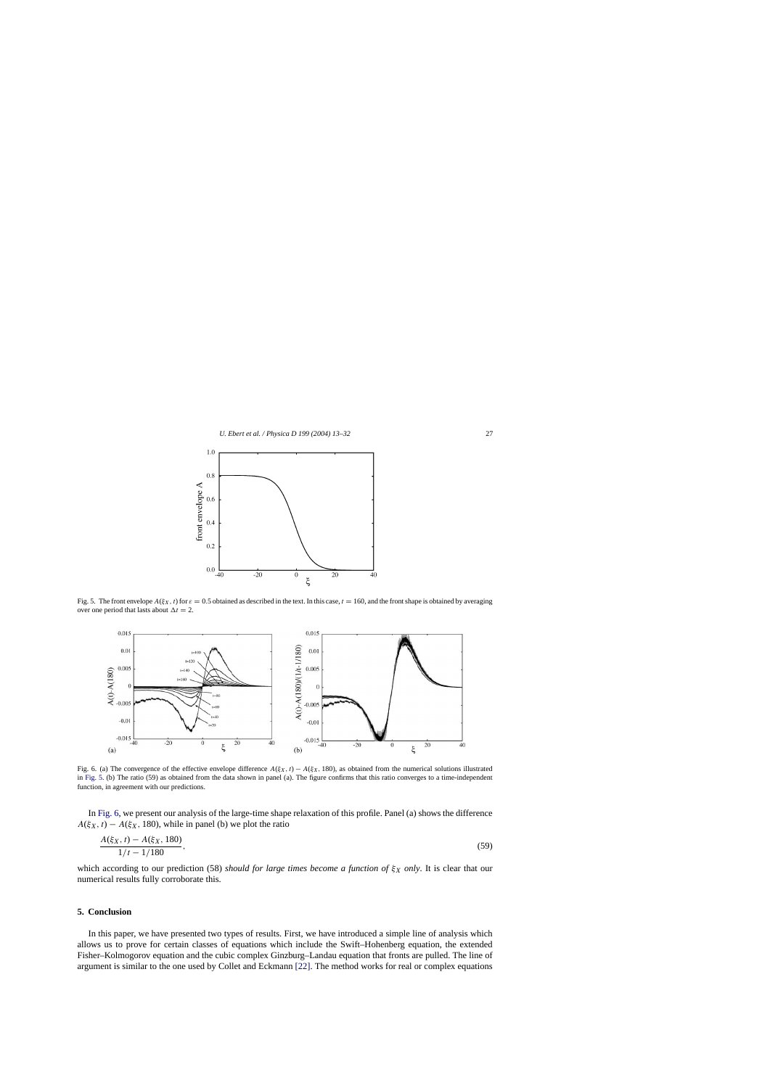<span id="page-14-0"></span>

Fig. 5. The front envelope  $A(\xi_X, t)$  for  $\varepsilon = 0.5$  obtained as described in the text. In this case,  $t = 160$ , and the front shape is obtained by averaging over one period that lasts about  $\Delta t = 2$ .



Fig. 6. (a) The convergence of the effective envelope difference  $A(\xi_X, t) - A(\xi_X, 180)$ , as obtained from the numerical solutions illustrated in Fig. 5. (b) The ratio (59) as obtained from the data shown in panel (a). The figure confirms that this ratio converges to a time-independent function, in agreement with our predictions.

In Fig. 6, we present our analysis of the large-time shape relaxation of this profile. Panel (a) shows the difference  $A(\xi_X, t) - A(\xi_X, 180)$ , while in panel (b) we plot the ratio

$$
\frac{A(\xi_X, t) - A(\xi_X, 180)}{1/t - 1/180},\tag{59}
$$

which according to our prediction (58) *should for large times become a function of*  $\xi_X$  *only*. It is clear that our numerical results fully corroborate this.

#### **5. Conclusion**

In this paper, we have presented two types of results. First, we have introduced a simple line of analysis which allows us to prove for certain classes of equations which include the Swift–Hohenberg equation, the extended Fisher–Kolmogorov equation and the cubic complex Ginzburg–Landau equation that fronts are pulled. The line of argument is similar to the one used by Collet and Eckmann [\[22\]. T](#page-18-0)he method works for real or complex equations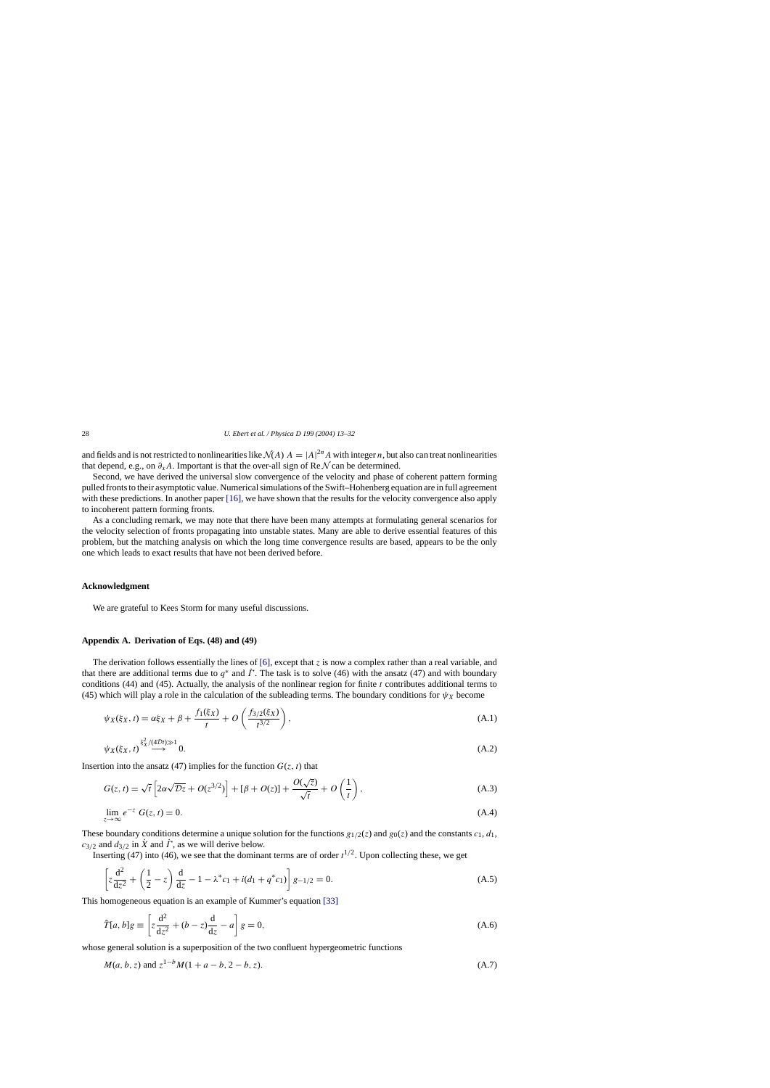<span id="page-15-0"></span>and fields and is not restricted to nonlinearities like  $\mathcal{N}(A)$   $A = |A|^{2n} A$  with integer *n*, but also can treat nonlinearities that depend, e.g., on  $\partial_{x}A$ . Important is that the over-all sign of Re N can be determined.

Second, we have derived the universal slow convergence of the velocity and phase of coherent pattern forming pulled fronts to their asymptotic value. Numerical simulations of the Swift–Hohenberg equation are in full agreement with these predictions. In another paper [\[16\], w](#page-18-0)e have shown that the results for the velocity convergence also apply to incoherent pattern forming fronts.

As a concluding remark, we may note that there have been many attempts at formulating general scenarios for the velocity selection of fronts propagating into unstable states. Many are able to derive essential features of this problem, but the matching analysis on which the long time convergence results are based, appears to be the only one which leads to exact results that have not been derived before.

#### **Acknowledgment**

We are grateful to Kees Storm for many useful discussions.

#### **AppendixA. Derivation of Eqs. (48) and (49)**

The derivation follows essentially the lines of  $[6]$ , except that z is now a complex rather than a real variable, and that there are additional terms due to  $q^*$  and  $\dot{\Gamma}$ . The task is to solve (46) with the ansatz (47) and with boundary conditions (44) and (45). Actually, the analysis of the nonlinear region for finite  $t$  contributes additional terms to (45) which will play a role in the calculation of the subleading terms. The boundary conditions for  $\psi_X$  become

$$
\psi_X(\xi_X, t) = \alpha \xi_X + \beta + \frac{f_1(\xi_X)}{t} + O\left(\frac{f_{3/2}(\xi_X)}{t^{3/2}}\right),\tag{A.1}
$$

$$
\psi_X(\xi_X, t) \stackrel{\xi_X^2/(4\mathcal{D}t)\gg1}{\longrightarrow} 0. \tag{A.2}
$$

Insertion into the ansatz (47) implies for the function  $G(z, t)$  that

$$
G(z,t) = \sqrt{t} \left[ 2\alpha \sqrt{Dz} + O(z^{3/2}) \right] + [\beta + O(z)] + \frac{O(\sqrt{z})}{\sqrt{t}} + O\left(\frac{1}{t}\right),\tag{A.3}
$$

$$
\lim_{z \to \infty} e^{-z} G(z, t) = 0. \tag{A.4}
$$

These boundary conditions determine a unique solution for the functions  $g_{1/2}(z)$  and  $g_0(z)$  and the constants  $c_1, d_1$ ,  $c_{3/2}$  and  $d_{3/2}$  in  $\dot{X}$  and  $\dot{\Gamma}$ , as we will derive below.

Inserting (47) into (46), we see that the dominant terms are of order  $t^{1/2}$ . Upon collecting these, we get

$$
\left[z\frac{d^2}{dz^2} + \left(\frac{1}{2} - z\right)\frac{d}{dz} - 1 - \lambda^* c_1 + i(d_1 + q^* c_1)\right]g_{-1/2} = 0.
$$
 (A.5)

This homogeneous equation is an example of Kummer's equation [\[33\]](#page-19-0)

$$
\hat{T}[a, b]g \equiv \left[z\frac{d^2}{dz^2} + (b - z)\frac{d}{dz} - a\right]g = 0,
$$
\n(A.6)

whose general solution is a superposition of the two confluent hypergeometric functions

$$
M(a, b, z)
$$
 and  $z^{1-b}M(1+a-b, 2-b, z)$ . (A.7)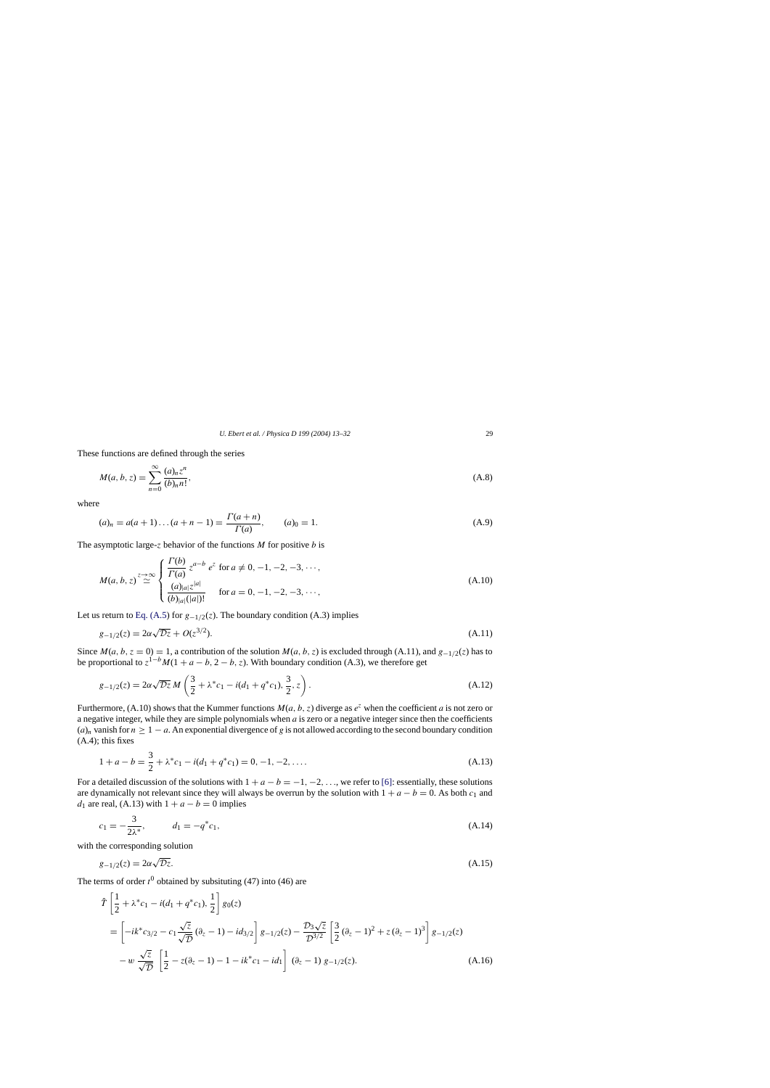These functions are defined through the series

$$
M(a, b, z) = \sum_{n=0}^{\infty} \frac{(a)_n z^n}{(b)_n n!},
$$
\n(A.8)

where

$$
(a)_n = a(a+1)\dots(a+n-1) = \frac{\Gamma(a+n)}{\Gamma(a)}, \qquad (a)_0 = 1.
$$
\n(A.9)

The asymptotic large-z behavior of the functions  $M$  for positive  $b$  is

$$
M(a, b, z) \stackrel{z \to \infty}{\simeq} \begin{cases} \frac{\Gamma(b)}{\Gamma(a)} z^{a-b} e^{z} \text{ for } a \neq 0, -1, -2, -3, \cdots, \\ \frac{(a)_{|a|} z^{|a|}}{(b)_{|a|}(|a|)!} \text{ for } a = 0, -1, -2, -3, \cdots, \end{cases}
$$
(A.10)

Let us return to [Eq. \(A.5\)](#page-15-0) for  $g_{-1/2}(z)$ . The boundary condition (A.3) implies

$$
g_{-1/2}(z) = 2\alpha\sqrt{\mathcal{D}z} + O(z^{3/2}).
$$
\n(A.11)

Since  $M(a, b, z = 0) = 1$ , a contribution of the solution  $M(a, b, z)$  is excluded through (A.11), and  $g_{-1/2}(z)$  has to be proportional to  $z^{1-b}M(1 + a - b, 2 - b, z)$ . With boundary condition (A.3), we therefore get

$$
g_{-1/2}(z) = 2\alpha\sqrt{\mathcal{D}z} M\left(\frac{3}{2} + \lambda^* c_1 - i(d_1 + q^* c_1), \frac{3}{2}, z\right). \tag{A.12}
$$

Furthermore, (A.10) shows that the Kummer functions  $M(a, b, z)$  diverge as  $e^z$  when the coefficient a is not zero or a negative integer, while they are simple polynomials when a is zero or a negative integer since then the coefficients  $(a)_n$  vanish for  $n \ge 1 - a$ . An exponential divergence of g is not allowed according to the second boundary condition  $(A.4)$ ; this fixes

$$
1 + a - b = \frac{3}{2} + \lambda^* c_1 - i(d_1 + q^* c_1) = 0, -1, -2, \dots
$$
 (A.13)

For a detailed discussion of the solutions with  $1 + a - b = -1, -2, \ldots$ , we refer to [\[6\]:](#page-18-0) essentially, these solutions are dynamically not relevant since they will always be overrun by the solution with  $1 + a - b = 0$ . As both  $c_1$  and  $d_1$  are real, (A.13) with  $1 + a - b = 0$  implies

$$
c_1 = -\frac{3}{2\lambda^*}, \qquad d_1 = -q^*c_1,\tag{A.14}
$$

with the corresponding solution

$$
g_{-1/2}(z) = 2\alpha\sqrt{\mathcal{D}z}.\tag{A.15}
$$

The terms of order  $t^0$  obtained by subsituting (47) into (46) are

$$
\hat{T}\left[\frac{1}{2} + \lambda^* c_1 - i(d_1 + q^* c_1), \frac{1}{2}\right] g_0(z)
$$
\n
$$
= \left[-ik^* c_{3/2} - c_1 \frac{\sqrt{z}}{\sqrt{D}} (\partial_z - 1) - id_{3/2}\right] g_{-1/2}(z) - \frac{\mathcal{D}_3 \sqrt{z}}{\mathcal{D}^{3/2}} \left[\frac{3}{2} (\partial_z - 1)^2 + z (\partial_z - 1)^3\right] g_{-1/2}(z)
$$
\n
$$
-w \frac{\sqrt{z}}{\sqrt{D}} \left[\frac{1}{2} - z(\partial_z - 1) - 1 - ik^* c_1 - id_1\right] (\partial_z - 1) g_{-1/2}(z).
$$
\n(A.16)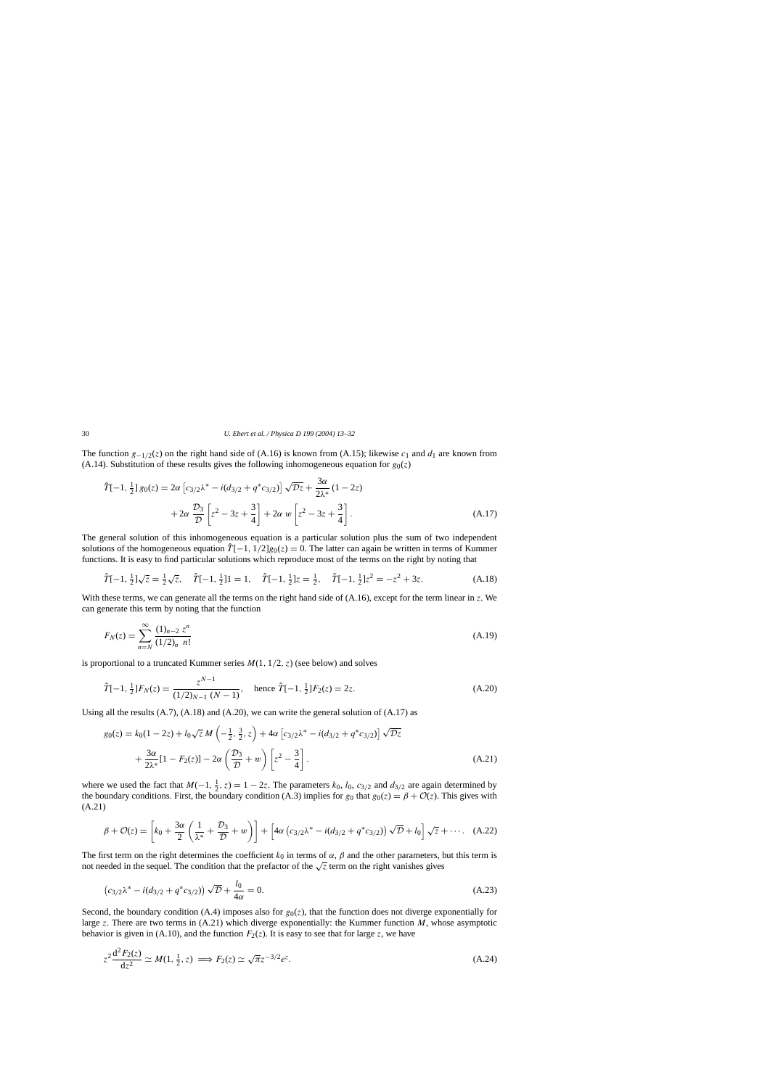<span id="page-17-0"></span>The function  $g_{-1/2}(z)$  on the right hand side of (A.16) is known from (A.15); likewise  $c_1$  and  $d_1$  are known from (A.14). Substitution of these results gives the following inhomogeneous equation for  $g_0(z)$ 

$$
\hat{T}[-1, \frac{1}{2}] g_0(z) = 2\alpha \left[ c_{3/2} \lambda^* - i(d_{3/2} + q^* c_{3/2}) \right] \sqrt{\mathcal{D}z} + \frac{3\alpha}{2\lambda^*} (1 - 2z) \n+ 2\alpha \frac{\mathcal{D}_3}{\mathcal{D}} \left[ z^2 - 3z + \frac{3}{4} \right] + 2\alpha w \left[ z^2 - 3z + \frac{3}{4} \right].
$$
\n(A.17)

The general solution of this inhomogeneous equation is a particular solution plus the sum of two independent solutions of the homogeneous equation  $\hat{T}[-1, 1/2]g_0(z) = 0$ . The latter can again be written in terms of Kummer functions. It is easy to find particular solutions which reproduce most of the terms on the right by noting that

$$
\hat{T}[-1, \frac{1}{2}]\sqrt{z} = \frac{1}{2}\sqrt{z}, \quad \hat{T}[-1, \frac{1}{2}]\mathbf{1} = 1, \quad \hat{T}[-1, \frac{1}{2}]\mathbf{z} = \frac{1}{2}, \quad \hat{T}[-1, \frac{1}{2}]\mathbf{z}^2 = -z^2 + 3z.
$$
 (A.18)

With these terms, we can generate all the terms on the right hand side of (A.16), except for the term linear in z. We can generate this term by noting that the function

$$
F_N(z) = \sum_{n=N}^{\infty} \frac{(1)_{n-2} z^n}{(1/2)_n n!}
$$
 (A.19)

is proportional to a truncated Kummer series  $M(1, 1/2, z)$  (see below) and solves

$$
\hat{T}[-1, \frac{1}{2}]F_N(z) = \frac{z^{N-1}}{(1/2)_{N-1} (N-1)}, \quad \text{hence } \hat{T}[-1, \frac{1}{2}]F_2(z) = 2z. \tag{A.20}
$$

Using all the results  $(A.7)$ ,  $(A.18)$  and  $(A.20)$ , we can write the general solution of  $(A.17)$  as

$$
g_0(z) = k_0(1 - 2z) + l_0\sqrt{z} M\left(-\frac{1}{2}, \frac{3}{2}, z\right) + 4\alpha \left[c_{3/2}\lambda^* - i(d_{3/2} + q^*c_{3/2})\right] \sqrt{\mathcal{D}z} + \frac{3\alpha}{2\lambda^*} [1 - F_2(z)] - 2\alpha \left(\frac{\mathcal{D}_3}{\mathcal{D}} + w\right) \left[z^2 - \frac{3}{4}\right].
$$
 (A.21)

where we used the fact that  $M(-1, \frac{1}{2}, z) = 1 - 2z$ . The parameters  $k_0$ ,  $l_0$ ,  $c_{3/2}$  and  $d_{3/2}$  are again determined by the boundary conditions. First, the boundary condition (A.3) implies for  $g_0$  that  $g_0(z) = \beta + \mathcal{O}(z)$ . This gives with (A.21)

$$
\beta + \mathcal{O}(z) = \left[k_0 + \frac{3\alpha}{2}\left(\frac{1}{\lambda^*} + \frac{\mathcal{D}_3}{\mathcal{D}} + w\right)\right] + \left[4\alpha\left(c_{3/2}\lambda^* - i(d_{3/2} + q^*c_{3/2})\right)\sqrt{\mathcal{D}} + l_0\right]\sqrt{z} + \cdots. \quad (A.22)
$$

The first term on the right determines the coefficient  $k_0$  in terms of  $\alpha$ ,  $\beta$  and the other parameters, but this term is not needed in the sequel. The condition that the prefactor of the  $\sqrt{z}$  term on the right vanishes gives

$$
(c_{3/2}\lambda^* - i(d_{3/2} + q^*c_{3/2}))\sqrt{\mathcal{D}} + \frac{l_0}{4\alpha} = 0.
$$
 (A.23)

Second, the boundary condition (A.4) imposes also for  $g_0(z)$ , that the function does not diverge exponentially for large z. There are two terms in  $(A.21)$  which diverge exponentially: the Kummer function M, whose asymptotic behavior is given in (A.10), and the function  $F_2(z)$ . It is easy to see that for large z, we have

$$
z^2 \frac{\mathrm{d}^2 F_2(z)}{\mathrm{d}z^2} \simeq M(1, \frac{1}{2}, z) \implies F_2(z) \simeq \sqrt{\pi} z^{-3/2} e^z. \tag{A.24}
$$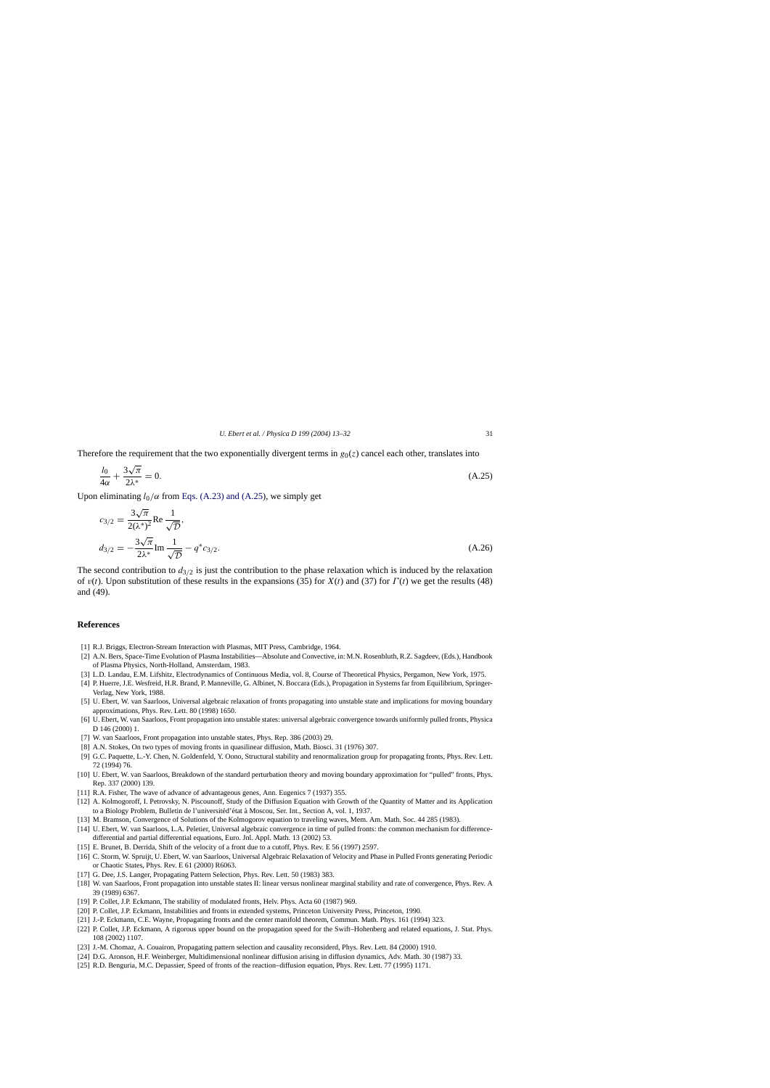<span id="page-18-0"></span>Therefore the requirement that the two exponentially divergent terms in  $g_0(z)$  cancel each other, translates into

$$
\frac{l_0}{4\alpha} + \frac{3\sqrt{\pi}}{2\lambda^*} = 0. \tag{A.25}
$$

Upon eliminating  $l_0/\alpha$  from [Eqs. \(A.23\) and \(A.25\),](#page-17-0) we simply get

$$
c_{3/2} = \frac{3\sqrt{\pi}}{2(\lambda^*)^2} \text{Re} \frac{1}{\sqrt{\mathcal{D}}},
$$
  

$$
d_{3/2} = -\frac{3\sqrt{\pi}}{2\lambda^*} \text{Im} \frac{1}{\sqrt{\mathcal{D}}} - q^* c_{3/2}.
$$
 (A.26)

The second contribution to  $d_{3/2}$  is just the contribution to the phase relaxation which is induced by the relaxation of  $v(t)$ . Upon substitution of these results in the expansions (35) for  $X(t)$  and (37) for  $\Gamma(t)$  we get the results (48) and (49).

## **References**

- [1] R.J. Briggs, Electron-Stream Interaction with Plasmas, MIT Press, Cambridge, 1964.
- [2] A.N. Bers, Space-Time Evolution of Plasma Instabilities—Absolute and Convective, in: M.N. Rosenbluth, R.Z. Sagdeev, (Eds.), Handbook of Plasma Physics, North-Holland, Amsterdam, 1983.
- [3] L.D. Landau, E.M. Lifshitz, Electrodynamics of Continuous Media, vol. 8, Course of Theoretical Physics, Pergamon, New York, 1975.
- [4] P. Huerre, J.E. Wesfreid, H.R. Brand, P. Manneville, G. Albinet, N. Boccara (Eds.), Propagation in Systems far from Equilibrium, Springer-Verlag, New York, 1988.
- [5] U. Ebert, W. van Saarloos, Universal algebraic relaxation of fronts propagating into unstable state and implications for moving boundary approximations, Phys. Rev. Lett. 80 (1998) 1650.
- [6] U. Ebert, W. van Saarloos, Front propagation into unstable states: universal algebraic convergence towards uniformly pulled fronts, Physica D 146 (2000) 1.
- [7] W. van Saarloos, Front propagation into unstable states, Phys. Rep. 386 (2003) 29.
- [8] A.N. Stokes, On two types of moving fronts in quasilinear diffusion, Math. Biosci. 31 (1976) 307.
- [9] G.C. Paquette, L.-Y. Chen, N. Goldenfeld, Y. Oono, Structural stability and renormalization group for propagating fronts, Phys. Rev. Lett. 72 (1994) 76.
- [10] U. Ebert, W. van Saarloos, Breakdown of the standard perturbation theory and moving boundary approximation for "pulled" fronts, Phys. Rep. 337 (2000) 139.
- [11] R.A. Fisher, The wave of advance of advantageous genes, Ann. Eugenics 7 (1937) 355.
- [12] A. Kolmogoroff, I. Petrovsky, N. Piscounoff, Study of the Diffusion Equation with Growth of the Quantity of Matter and its Application to a Biology Problem, Bulletin de l'universitéd'état à Moscou, Ser. Int., Section A, vol. 1, 1937.
- [13] M. Bramson, Convergence of Solutions of the Kolmogorov equation to traveling waves, Mem. Am. Math. Soc. 44 285 (1983).
- [14] U. Ebert, W. van Saarloos, L.A. Peletier, Universal algebraic convergence in time of pulled fronts: the common mechanism for differencedifferential and partial differential equations, Euro. Jnl. Appl. Math. 13 (2002) 53.
- [15] E. Brunet, B. Derrida, Shift of the velocity of a front due to a cutoff, Phys. Rev. E 56 (1997) 2597.
- [16] C. Storm, W. Spruijt, U. Ebert, W. van Saarloos, Universal Algebraic Relaxation of Velocity and Phase in Pulled Fronts generating Periodic or Chaotic States, Phys. Rev. E 61 (2000) R6063.
- [17] G. Dee, J.S. Langer, Propagating Pattern Selection, Phys. Rev. Lett. 50 (1983) 383.
- [18] W. van Saarloos, Front propagation into unstable states II: linear versus nonlinear marginal stability and rate of convergence, Phys. Rev. A 39 (1989) 6367.
- [19] P. Collet, J.P. Eckmann, The stability of modulated fronts, Helv. Phys. Acta 60 (1987) 969.
- [20] P. Collet, J.P. Eckmann, Instabilities and fronts in extended systems, Princeton University Press, Princeton, 1990.
- [21] J.-P. Eckmann, C.E. Wayne, Propagating fronts and the center manifold theorem, Commun. Math. Phys. 161 (1994) 323.
- [22] P. Collet, J.P. Eckmann, A rigorous upper bound on the propagation speed for the Swift–Hohenberg and related equations, J. Stat. Phys. 108 (2002) 1107.
- [23] J.-M. Chomaz, A. Couairon, Propagating pattern selection and causality reconsiderd, Phys. Rev. Lett. 84 (2000) 1910.
- [24] D.G. Aronson, H.F. Weinberger, Multidimensional nonlinear diffusion arising in diffusion dynamics, Adv. Math. 30 (1987) 33.
- [25] R.D. Benguria, M.C. Depassier, Speed of fronts of the reaction–diffusion equation, Phys. Rev. Lett. 77 (1995) 1171.